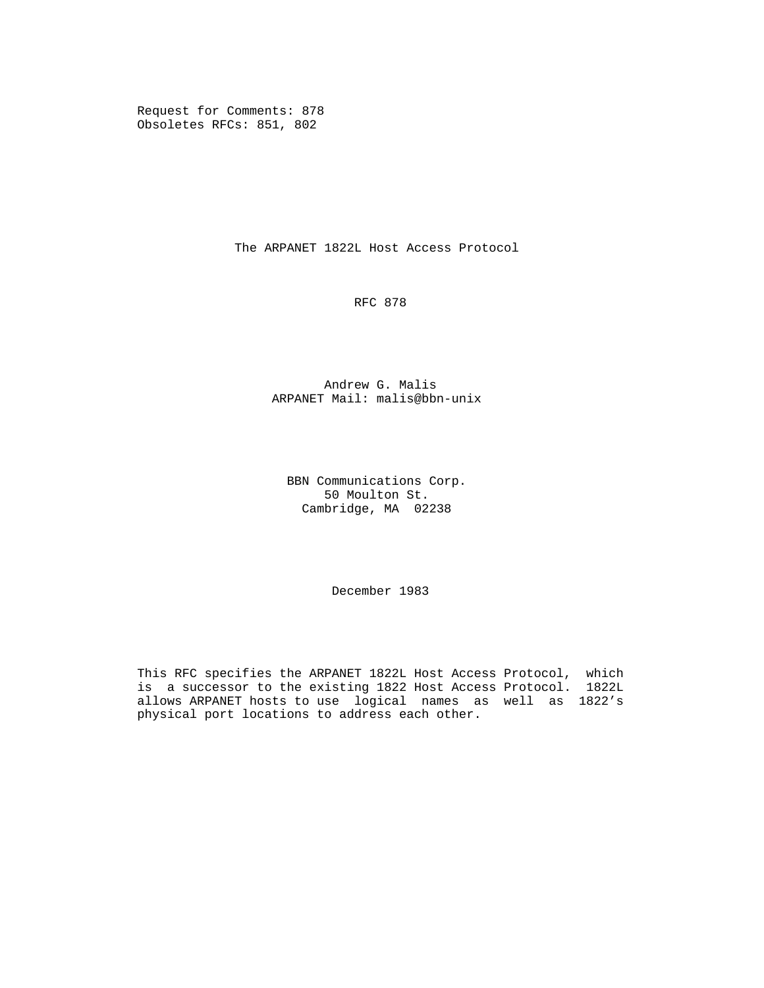Request for Comments: 878 Obsoletes RFCs: 851, 802

The ARPANET 1822L Host Access Protocol

RFC 878

 Andrew G. Malis ARPANET Mail: malis@bbn-unix

 BBN Communications Corp. 50 Moulton St. Cambridge, MA 02238

December 1983

 This RFC specifies the ARPANET 1822L Host Access Protocol, which is a successor to the existing 1822 Host Access Protocol. 1822L allows ARPANET hosts to use logical names as well as 1822's physical port locations to address each other.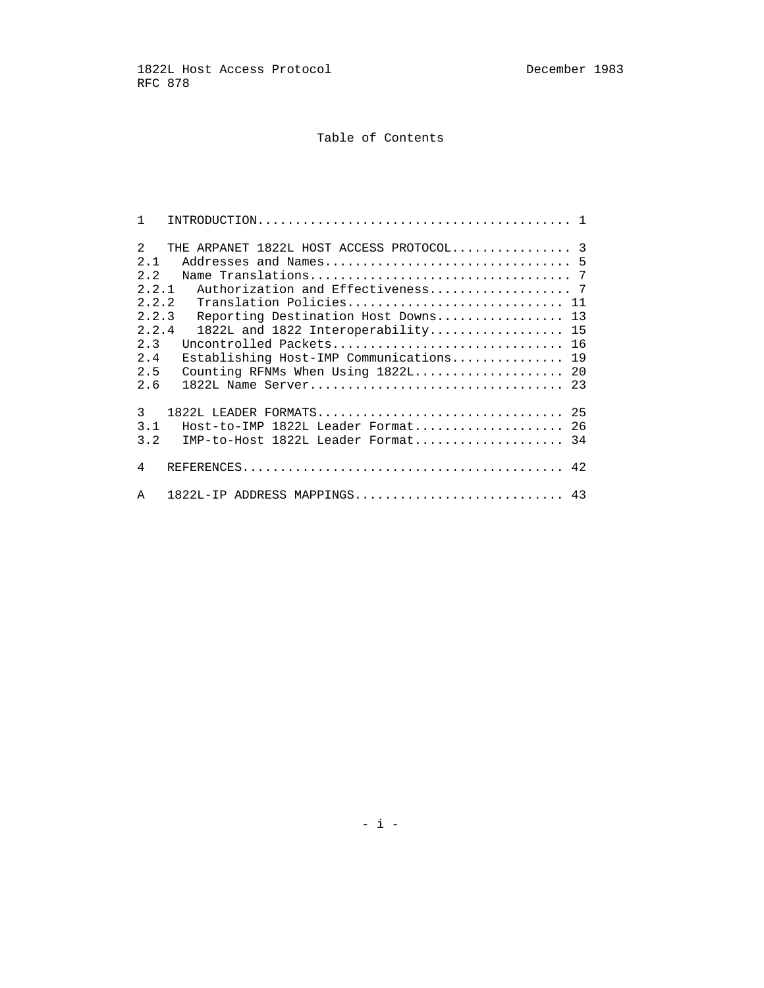# Table of Contents

| $\mathbf{1}$                                                                                |                                                                                                                                                                                                                                                                  |
|---------------------------------------------------------------------------------------------|------------------------------------------------------------------------------------------------------------------------------------------------------------------------------------------------------------------------------------------------------------------|
| $\mathcal{L}$<br>2.1<br>2.2<br>2.2.1<br>2.2.2<br>2.2.3<br>2.2.4<br>2.3<br>2.4<br>2.5<br>2.6 | THE ARPANET 1822L HOST ACCESS PROTOCOL 3<br>Translation Policies 11<br>Reporting Destination Host Downs 13<br>$1822L$ and $1822$ Interoperability 15<br>Uncontrolled Packets 16<br>Establishing Host-IMP Communications 19<br>Counting RFNMs When Using 1822L 20 |
| 3<br>3.1<br>3.2                                                                             | $1822L$ LEADER FORMATS<br>25<br>$Host-to-IMP$ 1822L Leader Format<br>26<br>IMP-to-Host 1822L Leader Format 34                                                                                                                                                    |
| 4<br>A                                                                                      | $1822L$ -IP ADDRESS MAPPINGS<br>43                                                                                                                                                                                                                               |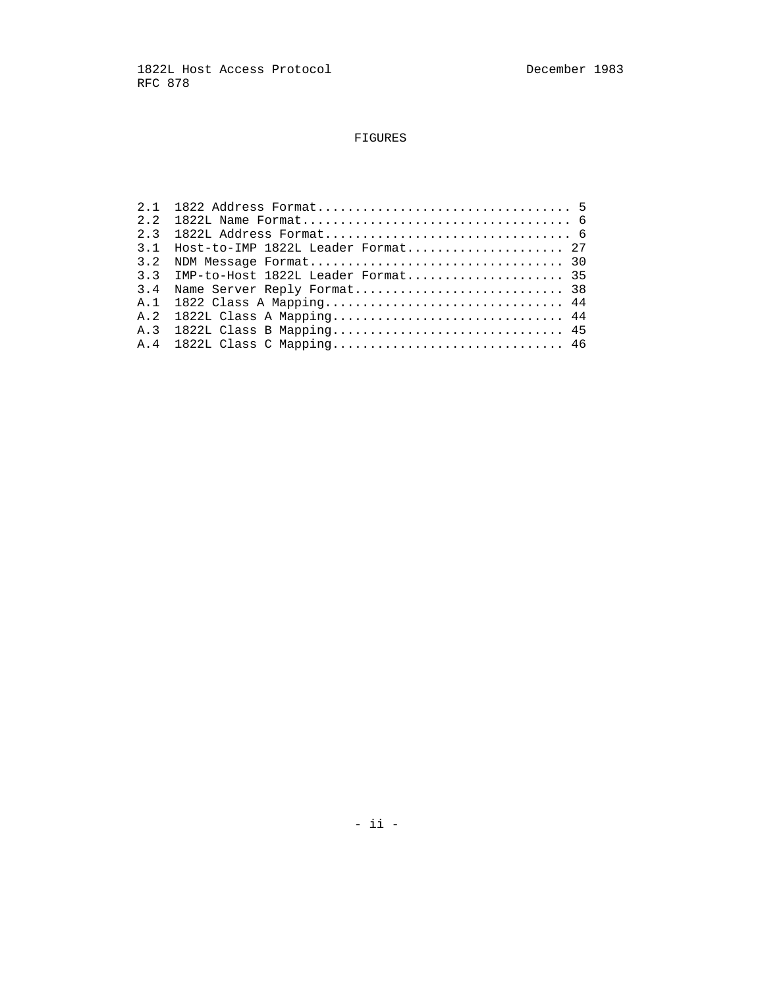# FIGURES

|     | $3.1$ Host-to-IMP 1822L Leader Format 27 |
|-----|------------------------------------------|
| 3.2 | NDM Message Format 30                    |
|     |                                          |
|     |                                          |
|     | A.1 1822 Class A Mapping 44              |
|     | A.2 1822L Class A Mapping 44             |
|     |                                          |
|     |                                          |
|     |                                          |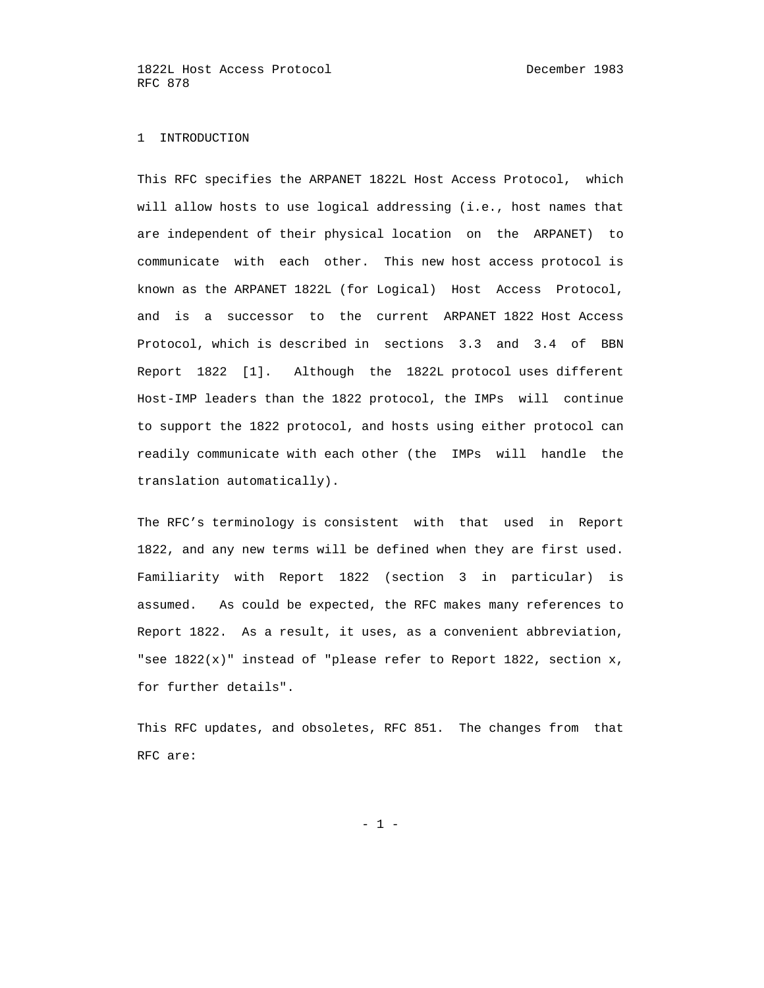#### 1 INTRODUCTION

 This RFC specifies the ARPANET 1822L Host Access Protocol, which will allow hosts to use logical addressing (i.e., host names that are independent of their physical location on the ARPANET) to communicate with each other. This new host access protocol is known as the ARPANET 1822L (for Logical) Host Access Protocol, and is a successor to the current ARPANET 1822 Host Access Protocol, which is described in sections 3.3 and 3.4 of BBN Report 1822 [1]. Although the 1822L protocol uses different Host-IMP leaders than the 1822 protocol, the IMPs will continue to support the 1822 protocol, and hosts using either protocol can readily communicate with each other (the IMPs will handle the translation automatically).

 The RFC's terminology is consistent with that used in Report 1822, and any new terms will be defined when they are first used. Familiarity with Report 1822 (section 3 in particular) is assumed. As could be expected, the RFC makes many references to Report 1822. As a result, it uses, as a convenient abbreviation, "see  $1822(x)$ " instead of "please refer to Report 1822, section x, for further details".

 This RFC updates, and obsoletes, RFC 851. The changes from that RFC are:

- 1 -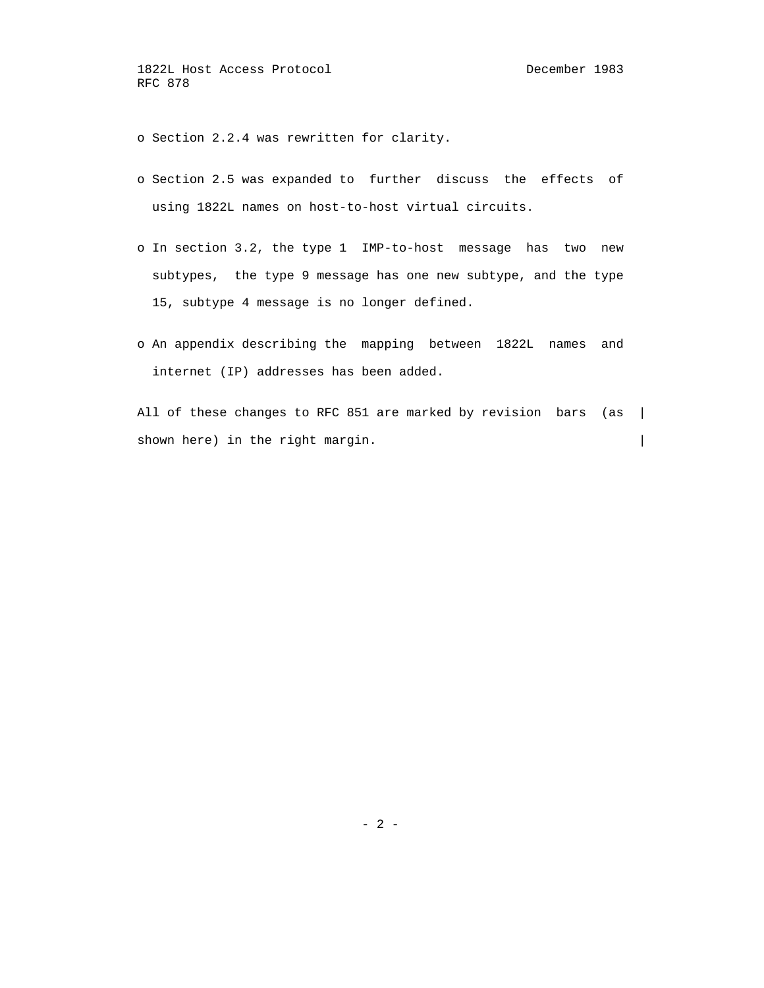o Section 2.2.4 was rewritten for clarity.

- o Section 2.5 was expanded to further discuss the effects of using 1822L names on host-to-host virtual circuits.
- o In section 3.2, the type 1 IMP-to-host message has two new subtypes, the type 9 message has one new subtype, and the type 15, subtype 4 message is no longer defined.
- o An appendix describing the mapping between 1822L names and internet (IP) addresses has been added.

All of these changes to RFC 851 are marked by revision bars (as | shown here) in the right margin.  $\vert$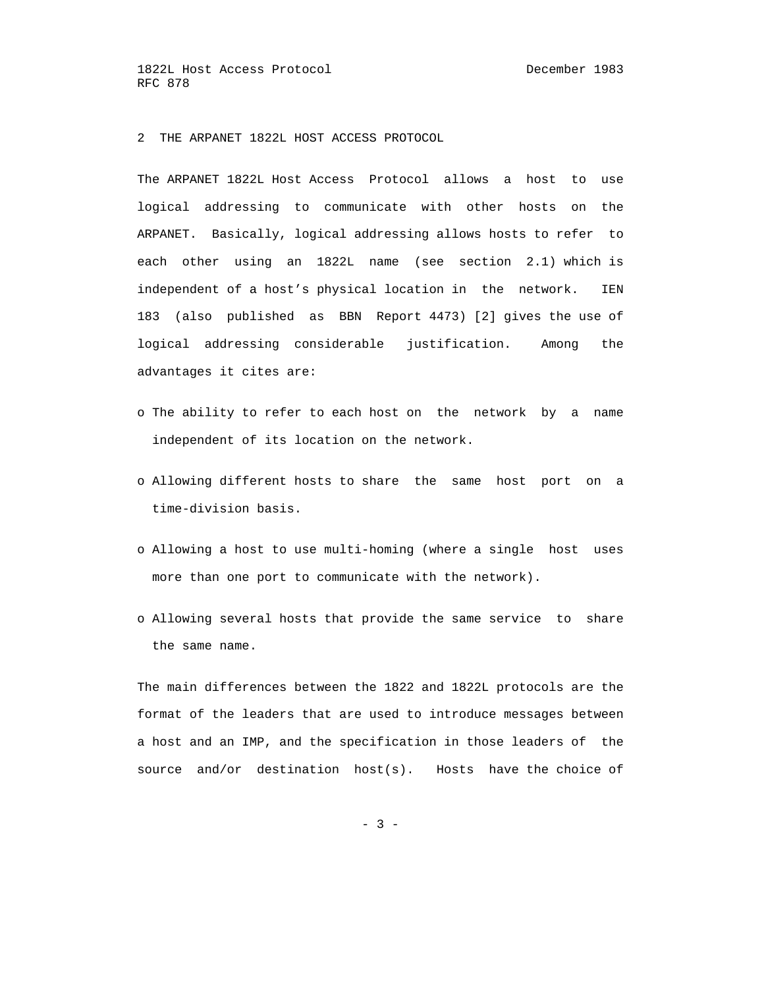2 THE ARPANET 1822L HOST ACCESS PROTOCOL

 The ARPANET 1822L Host Access Protocol allows a host to use logical addressing to communicate with other hosts on the ARPANET. Basically, logical addressing allows hosts to refer to each other using an 1822L name (see section 2.1) which is independent of a host's physical location in the network. IEN 183 (also published as BBN Report 4473) [2] gives the use of logical addressing considerable justification. Among the advantages it cites are:

- o The ability to refer to each host on the network by a name independent of its location on the network.
- o Allowing different hosts to share the same host port on a time-division basis.
- o Allowing a host to use multi-homing (where a single host uses more than one port to communicate with the network).
- o Allowing several hosts that provide the same service to share the same name.

 The main differences between the 1822 and 1822L protocols are the format of the leaders that are used to introduce messages between a host and an IMP, and the specification in those leaders of the source and/or destination host(s). Hosts have the choice of

 $- 3 -$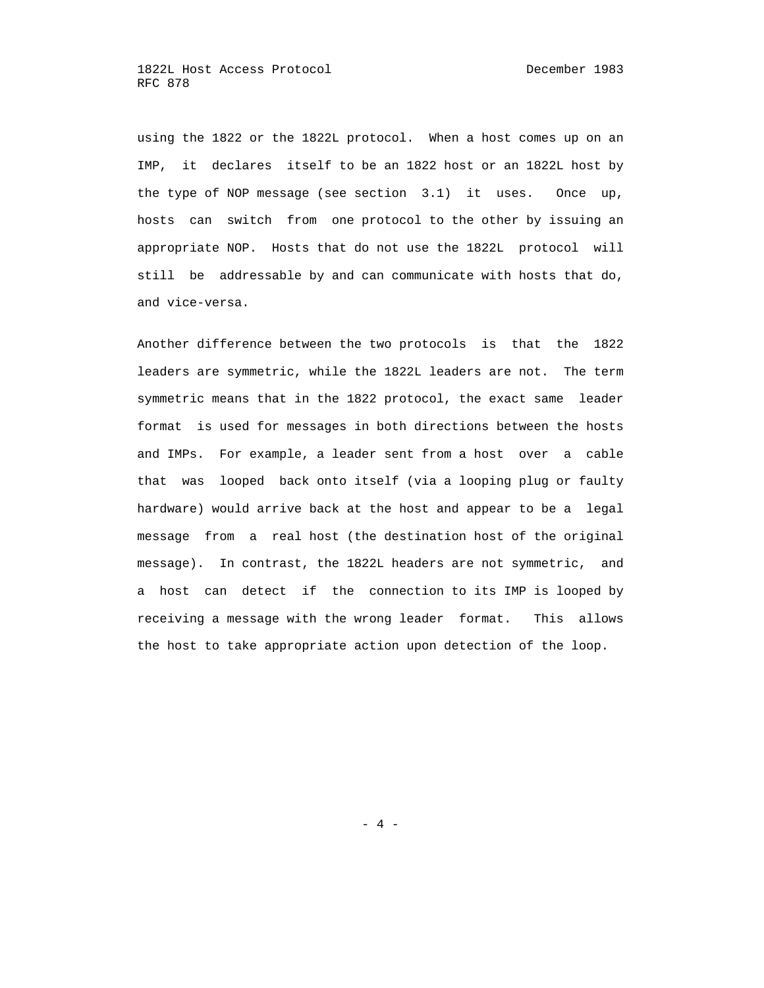using the 1822 or the 1822L protocol. When a host comes up on an IMP, it declares itself to be an 1822 host or an 1822L host by the type of NOP message (see section 3.1) it uses. Once up, hosts can switch from one protocol to the other by issuing an appropriate NOP. Hosts that do not use the 1822L protocol will still be addressable by and can communicate with hosts that do, and vice-versa.

 Another difference between the two protocols is that the 1822 leaders are symmetric, while the 1822L leaders are not. The term symmetric means that in the 1822 protocol, the exact same leader format is used for messages in both directions between the hosts and IMPs. For example, a leader sent from a host over a cable that was looped back onto itself (via a looping plug or faulty hardware) would arrive back at the host and appear to be a legal message from a real host (the destination host of the original message). In contrast, the 1822L headers are not symmetric, and a host can detect if the connection to its IMP is looped by receiving a message with the wrong leader format. This allows the host to take appropriate action upon detection of the loop.

- 4 -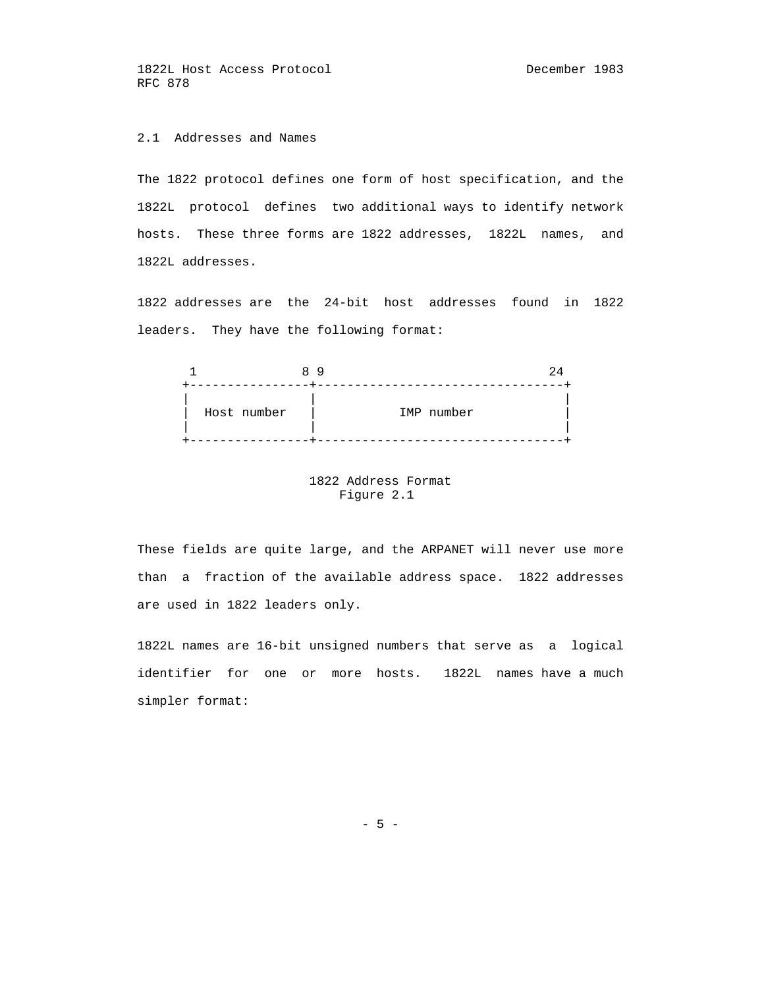# 2.1 Addresses and Names

 The 1822 protocol defines one form of host specification, and the 1822L protocol defines two additional ways to identify network hosts. These three forms are 1822 addresses, 1822L names, and 1822L addresses.

 1822 addresses are the 24-bit host addresses found in 1822 leaders. They have the following format:



## 1822 Address Format Figure 2.1

 These fields are quite large, and the ARPANET will never use more than a fraction of the available address space. 1822 addresses are used in 1822 leaders only.

 1822L names are 16-bit unsigned numbers that serve as a logical identifier for one or more hosts. 1822L names have a much simpler format:

 $- 5 -$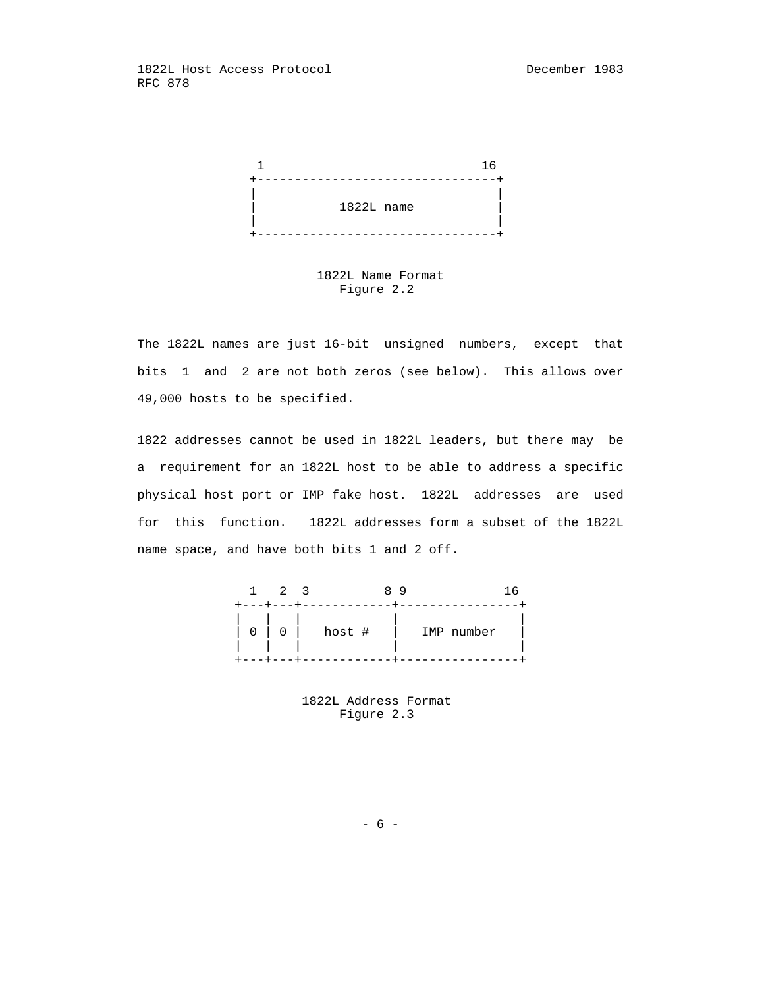

 1822L Name Format Figure 2.2

 The 1822L names are just 16-bit unsigned numbers, except that bits 1 and 2 are not both zeros (see below). This allows over 49,000 hosts to be specified.

 1822 addresses cannot be used in 1822L leaders, but there may be a requirement for an 1822L host to be able to address a specific physical host port or IMP fake host. 1822L addresses are used for this function. 1822L addresses form a subset of the 1822L name space, and have both bits 1 and 2 off.



 1822L Address Format Figure 2.3

 $- 6 -$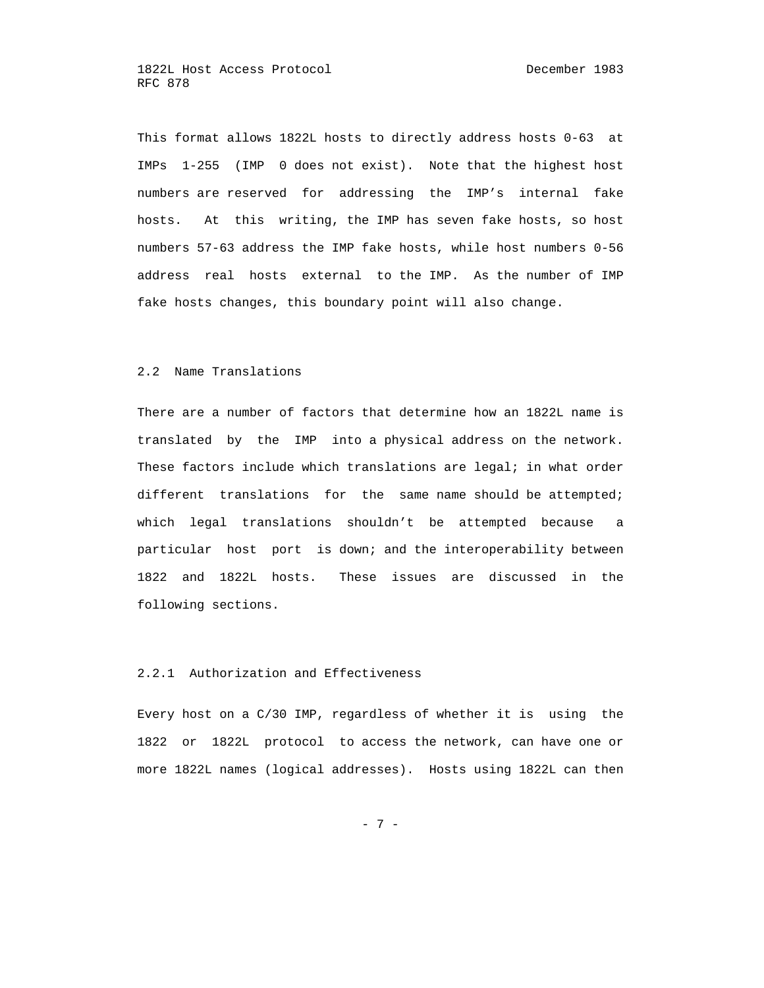This format allows 1822L hosts to directly address hosts 0-63 at IMPs 1-255 (IMP 0 does not exist). Note that the highest host numbers are reserved for addressing the IMP's internal fake hosts. At this writing, the IMP has seven fake hosts, so host numbers 57-63 address the IMP fake hosts, while host numbers 0-56 address real hosts external to the IMP. As the number of IMP fake hosts changes, this boundary point will also change.

## 2.2 Name Translations

 There are a number of factors that determine how an 1822L name is translated by the IMP into a physical address on the network. These factors include which translations are legal; in what order different translations for the same name should be attempted; which legal translations shouldn't be attempted because a particular host port is down; and the interoperability between 1822 and 1822L hosts. These issues are discussed in the following sections.

## 2.2.1 Authorization and Effectiveness

 Every host on a C/30 IMP, regardless of whether it is using the 1822 or 1822L protocol to access the network, can have one or more 1822L names (logical addresses). Hosts using 1822L can then

- 7 -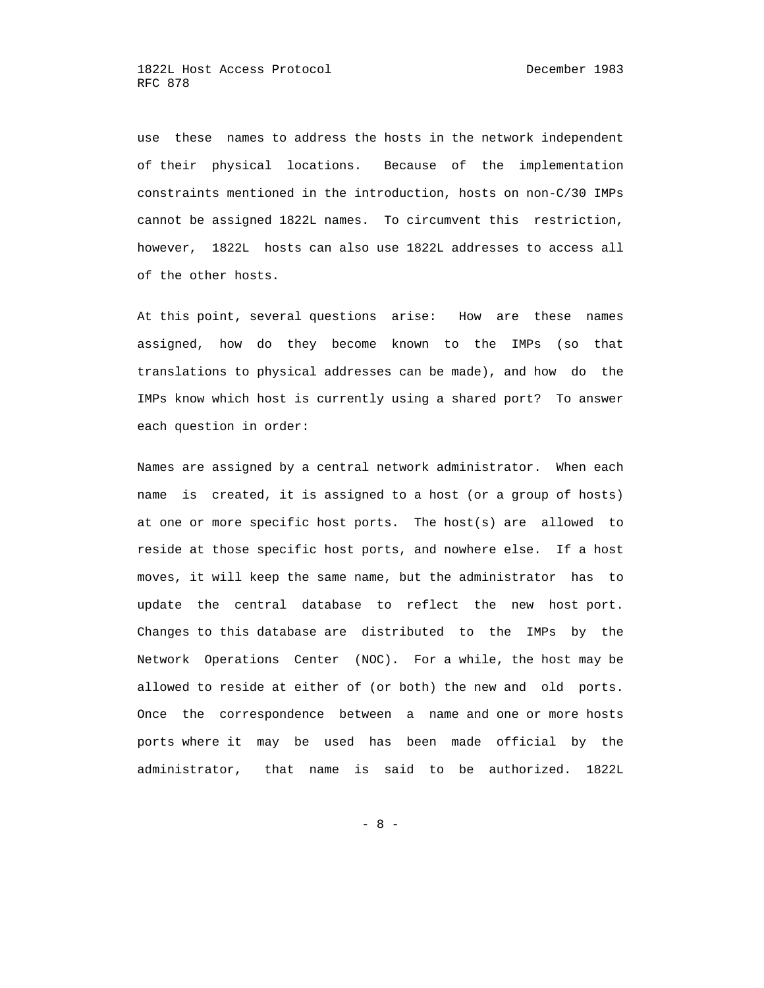use these names to address the hosts in the network independent of their physical locations. Because of the implementation constraints mentioned in the introduction, hosts on non-C/30 IMPs cannot be assigned 1822L names. To circumvent this restriction, however, 1822L hosts can also use 1822L addresses to access all of the other hosts.

 At this point, several questions arise: How are these names assigned, how do they become known to the IMPs (so that translations to physical addresses can be made), and how do the IMPs know which host is currently using a shared port? To answer each question in order:

 Names are assigned by a central network administrator. When each name is created, it is assigned to a host (or a group of hosts) at one or more specific host ports. The host(s) are allowed to reside at those specific host ports, and nowhere else. If a host moves, it will keep the same name, but the administrator has to update the central database to reflect the new host port. Changes to this database are distributed to the IMPs by the Network Operations Center (NOC). For a while, the host may be allowed to reside at either of (or both) the new and old ports. Once the correspondence between a name and one or more hosts ports where it may be used has been made official by the administrator, that name is said to be authorized. 1822L

- 8 -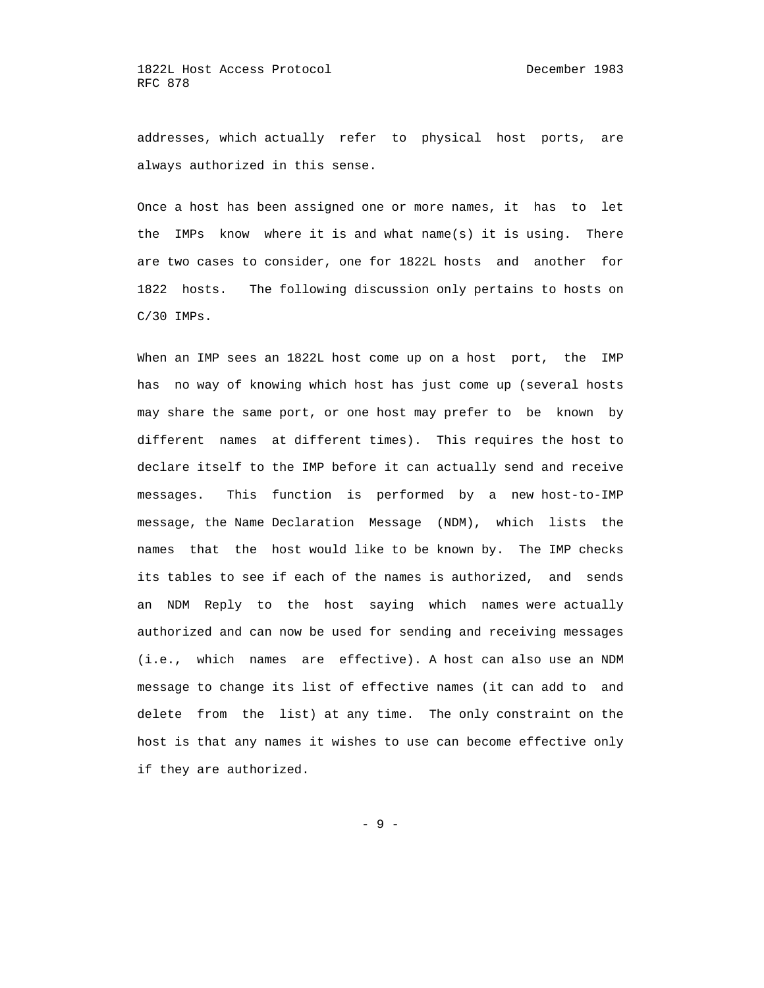addresses, which actually refer to physical host ports, are always authorized in this sense.

 Once a host has been assigned one or more names, it has to let the IMPs know where it is and what name(s) it is using. There are two cases to consider, one for 1822L hosts and another for 1822 hosts. The following discussion only pertains to hosts on C/30 IMPs.

When an IMP sees an 1822L host come up on a host port, the IMP has no way of knowing which host has just come up (several hosts may share the same port, or one host may prefer to be known by different names at different times). This requires the host to declare itself to the IMP before it can actually send and receive messages. This function is performed by a new host-to-IMP message, the Name Declaration Message (NDM), which lists the names that the host would like to be known by. The IMP checks its tables to see if each of the names is authorized, and sends an NDM Reply to the host saying which names were actually authorized and can now be used for sending and receiving messages (i.e., which names are effective). A host can also use an NDM message to change its list of effective names (it can add to and delete from the list) at any time. The only constraint on the host is that any names it wishes to use can become effective only if they are authorized.

- 9 -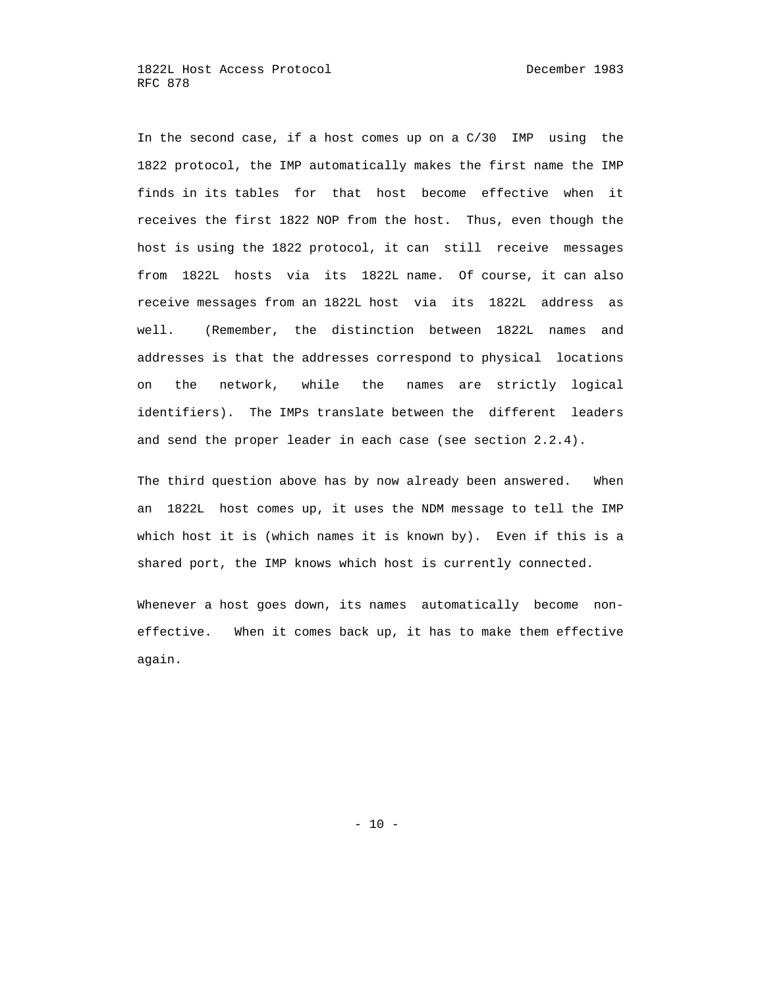In the second case, if a host comes up on a C/30 IMP using the 1822 protocol, the IMP automatically makes the first name the IMP finds in its tables for that host become effective when it receives the first 1822 NOP from the host. Thus, even though the host is using the 1822 protocol, it can still receive messages from 1822L hosts via its 1822L name. Of course, it can also receive messages from an 1822L host via its 1822L address as well. (Remember, the distinction between 1822L names and addresses is that the addresses correspond to physical locations on the network, while the names are strictly logical identifiers). The IMPs translate between the different leaders and send the proper leader in each case (see section 2.2.4).

 The third question above has by now already been answered. When an 1822L host comes up, it uses the NDM message to tell the IMP which host it is (which names it is known by). Even if this is a shared port, the IMP knows which host is currently connected.

 Whenever a host goes down, its names automatically become non effective. When it comes back up, it has to make them effective again.

 $- 10 -$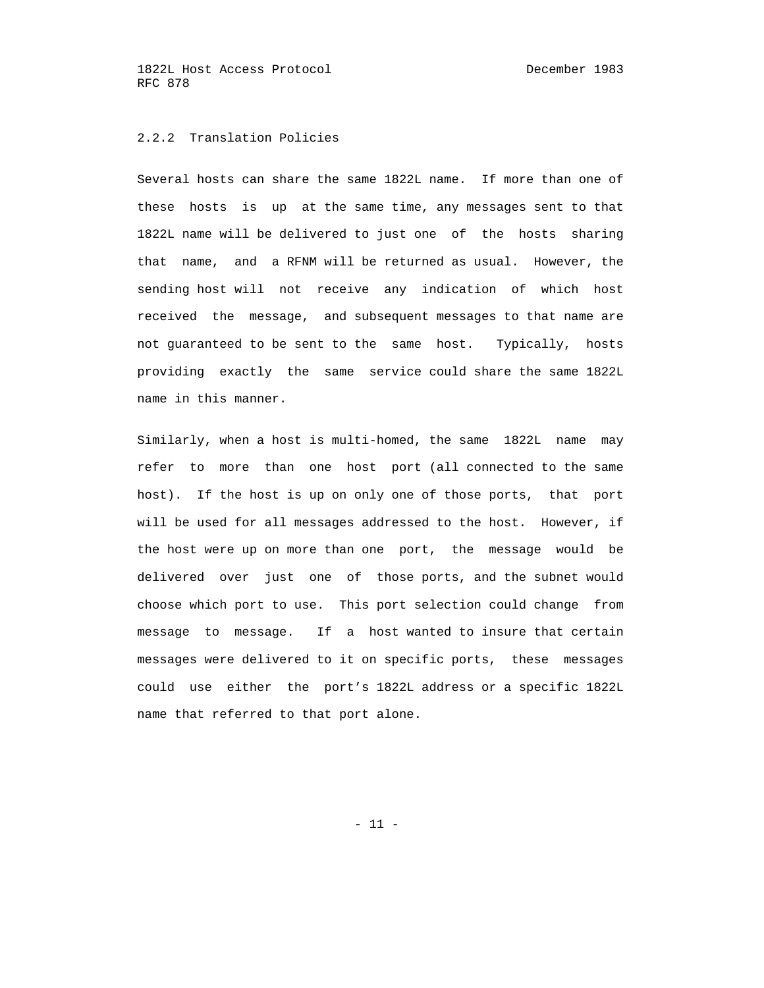#### 2.2.2 Translation Policies

 Several hosts can share the same 1822L name. If more than one of these hosts is up at the same time, any messages sent to that 1822L name will be delivered to just one of the hosts sharing that name, and a RFNM will be returned as usual. However, the sending host will not receive any indication of which host received the message, and subsequent messages to that name are not guaranteed to be sent to the same host. Typically, hosts providing exactly the same service could share the same 1822L name in this manner.

 Similarly, when a host is multi-homed, the same 1822L name may refer to more than one host port (all connected to the same host). If the host is up on only one of those ports, that port will be used for all messages addressed to the host. However, if the host were up on more than one port, the message would be delivered over just one of those ports, and the subnet would choose which port to use. This port selection could change from message to message. If a host wanted to insure that certain messages were delivered to it on specific ports, these messages could use either the port's 1822L address or a specific 1822L name that referred to that port alone.

 $- 11 -$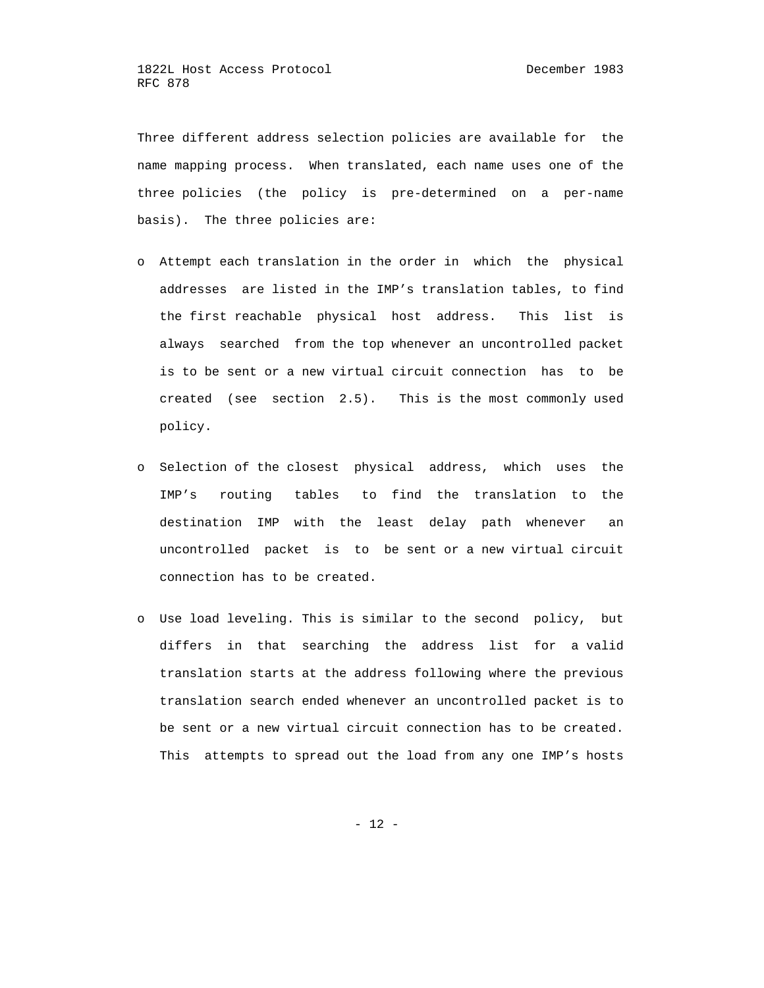Three different address selection policies are available for the name mapping process. When translated, each name uses one of the three policies (the policy is pre-determined on a per-name basis). The three policies are:

- o Attempt each translation in the order in which the physical addresses are listed in the IMP's translation tables, to find the first reachable physical host address. This list is always searched from the top whenever an uncontrolled packet is to be sent or a new virtual circuit connection has to be created (see section 2.5). This is the most commonly used policy.
- o Selection of the closest physical address, which uses the IMP's routing tables to find the translation to the destination IMP with the least delay path whenever an uncontrolled packet is to be sent or a new virtual circuit connection has to be created.
- o Use load leveling. This is similar to the second policy, but differs in that searching the address list for a valid translation starts at the address following where the previous translation search ended whenever an uncontrolled packet is to be sent or a new virtual circuit connection has to be created. This attempts to spread out the load from any one IMP's hosts

- 12 -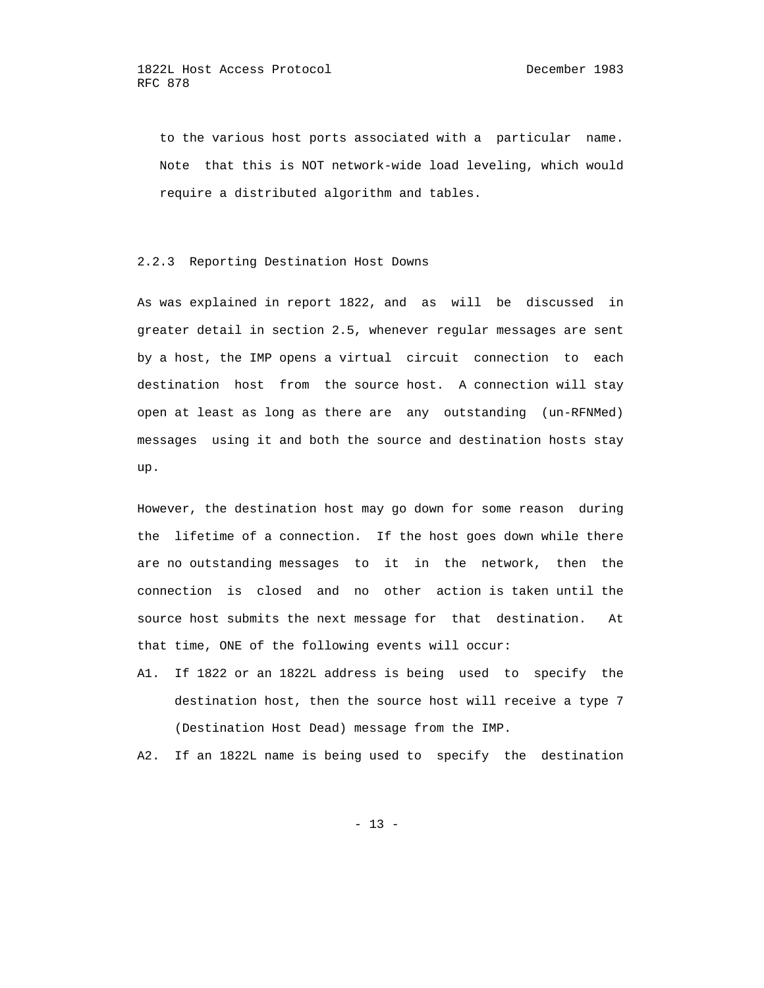to the various host ports associated with a particular name. Note that this is NOT network-wide load leveling, which would require a distributed algorithm and tables.

2.2.3 Reporting Destination Host Downs

 As was explained in report 1822, and as will be discussed in greater detail in section 2.5, whenever regular messages are sent by a host, the IMP opens a virtual circuit connection to each destination host from the source host. A connection will stay open at least as long as there are any outstanding (un-RFNMed) messages using it and both the source and destination hosts stay up.

 However, the destination host may go down for some reason during the lifetime of a connection. If the host goes down while there are no outstanding messages to it in the network, then the connection is closed and no other action is taken until the source host submits the next message for that destination. At that time, ONE of the following events will occur:

 A1. If 1822 or an 1822L address is being used to specify the destination host, then the source host will receive a type 7 (Destination Host Dead) message from the IMP.

A2. If an 1822L name is being used to specify the destination

 $- 13 -$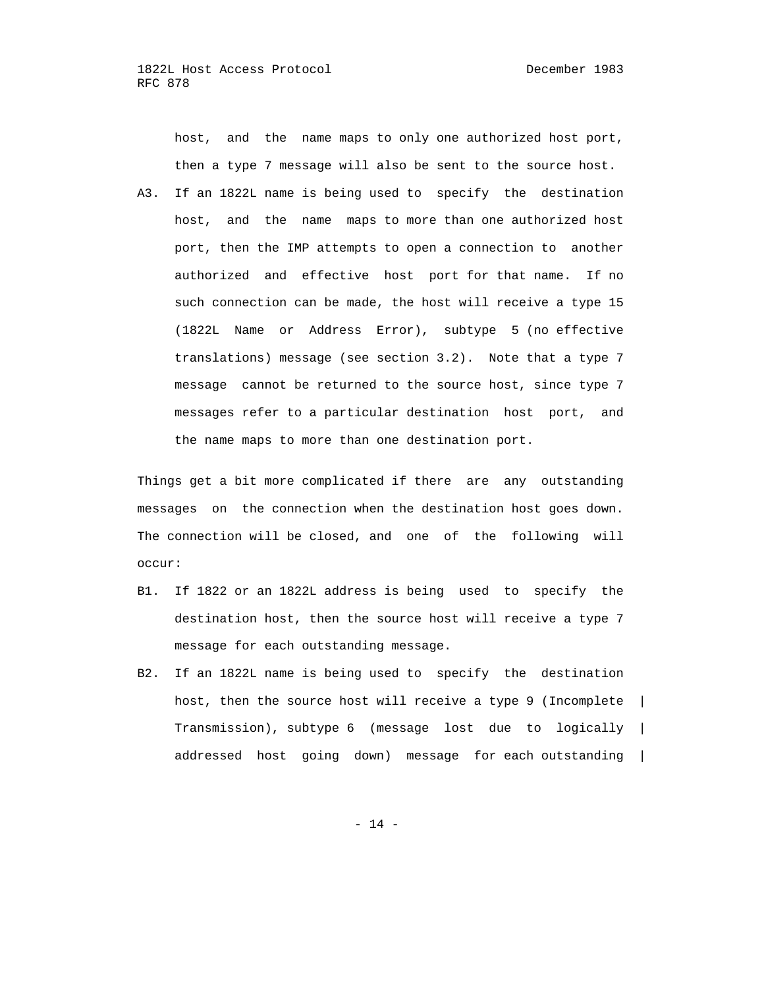host, and the name maps to only one authorized host port, then a type 7 message will also be sent to the source host.

 A3. If an 1822L name is being used to specify the destination host, and the name maps to more than one authorized host port, then the IMP attempts to open a connection to another authorized and effective host port for that name. If no such connection can be made, the host will receive a type 15 (1822L Name or Address Error), subtype 5 (no effective translations) message (see section 3.2). Note that a type 7 message cannot be returned to the source host, since type 7 messages refer to a particular destination host port, and the name maps to more than one destination port.

 Things get a bit more complicated if there are any outstanding messages on the connection when the destination host goes down. The connection will be closed, and one of the following will occur:

- B1. If 1822 or an 1822L address is being used to specify the destination host, then the source host will receive a type 7 message for each outstanding message.
- B2. If an 1822L name is being used to specify the destination host, then the source host will receive a type 9 (Incomplete | Transmission), subtype 6 (message lost due to logically | addressed host going down) message for each outstanding |

- 14 -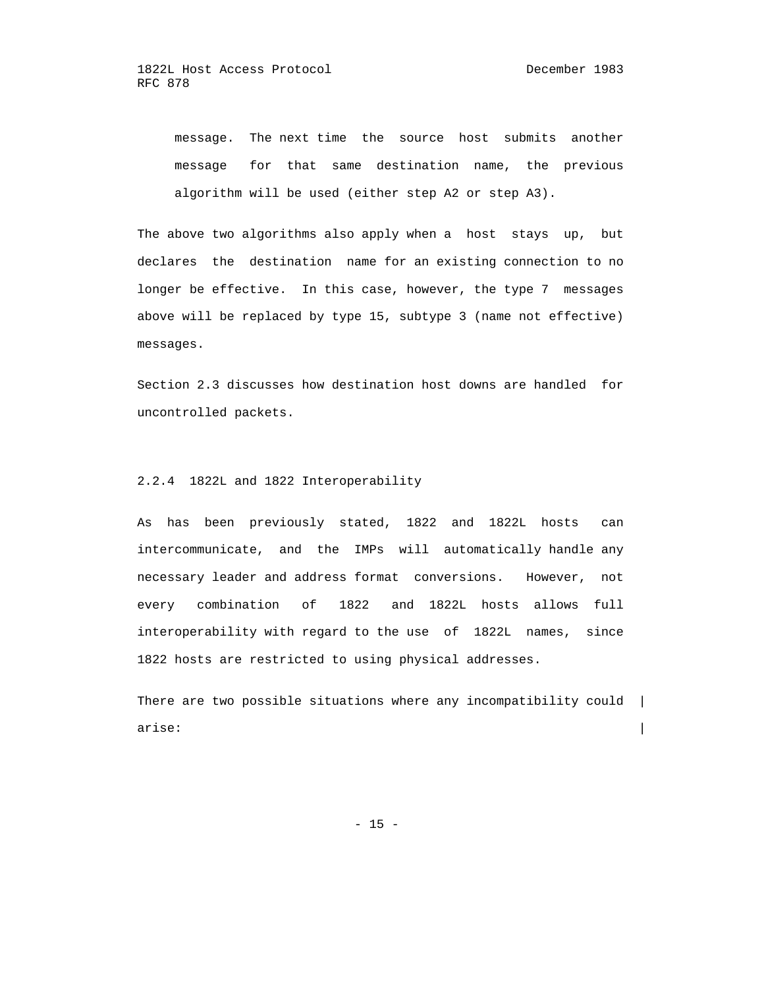message. The next time the source host submits another message for that same destination name, the previous algorithm will be used (either step A2 or step A3).

 The above two algorithms also apply when a host stays up, but declares the destination name for an existing connection to no longer be effective. In this case, however, the type 7 messages above will be replaced by type 15, subtype 3 (name not effective) messages.

 Section 2.3 discusses how destination host downs are handled for uncontrolled packets.

## 2.2.4 1822L and 1822 Interoperability

 As has been previously stated, 1822 and 1822L hosts can intercommunicate, and the IMPs will automatically handle any necessary leader and address format conversions. However, not every combination of 1822 and 1822L hosts allows full interoperability with regard to the use of 1822L names, since 1822 hosts are restricted to using physical addresses.

There are two possible situations where any incompatibility could | arise:  $\qquad \qquad \mid$ 

 $- 15 -$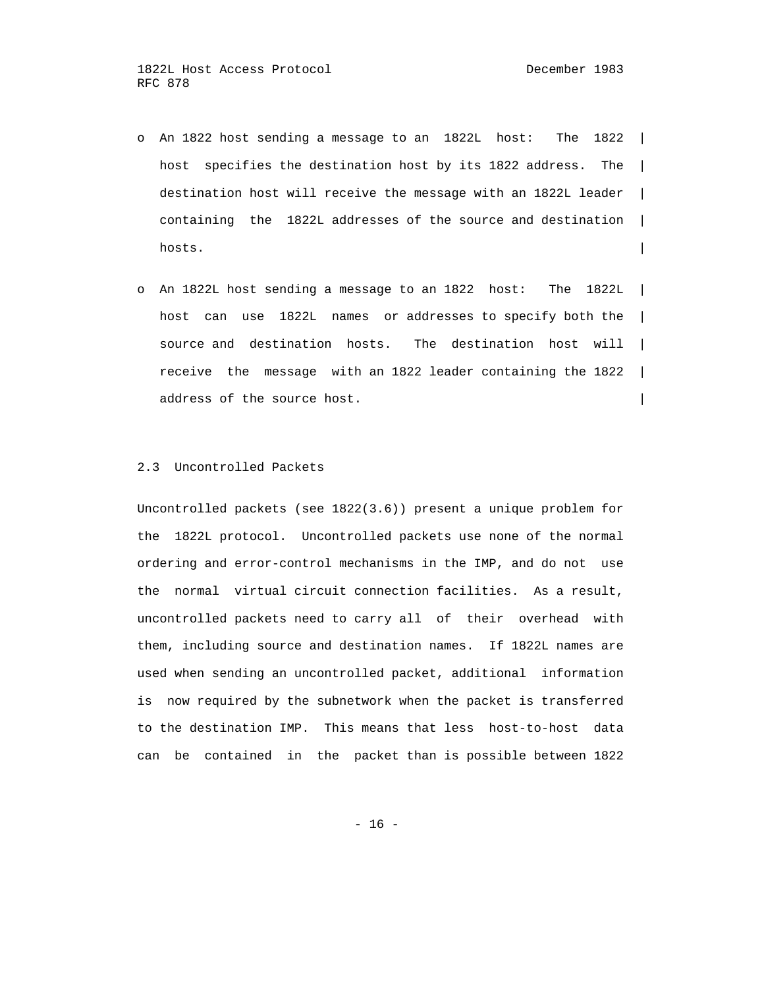- o An 1822 host sending a message to an 1822L host: The 1822 | host specifies the destination host by its 1822 address. The | destination host will receive the message with an 1822L leader | containing the 1822L addresses of the source and destination | hosts.
	- o An 1822L host sending a message to an 1822 host: The 1822L | host can use 1822L names or addresses to specify both the | source and destination hosts. The destination host will | receive the message with an 1822 leader containing the 1822 | address of the source host.

## 2.3 Uncontrolled Packets

 Uncontrolled packets (see 1822(3.6)) present a unique problem for the 1822L protocol. Uncontrolled packets use none of the normal ordering and error-control mechanisms in the IMP, and do not use the normal virtual circuit connection facilities. As a result, uncontrolled packets need to carry all of their overhead with them, including source and destination names. If 1822L names are used when sending an uncontrolled packet, additional information is now required by the subnetwork when the packet is transferred to the destination IMP. This means that less host-to-host data can be contained in the packet than is possible between 1822

- 16 -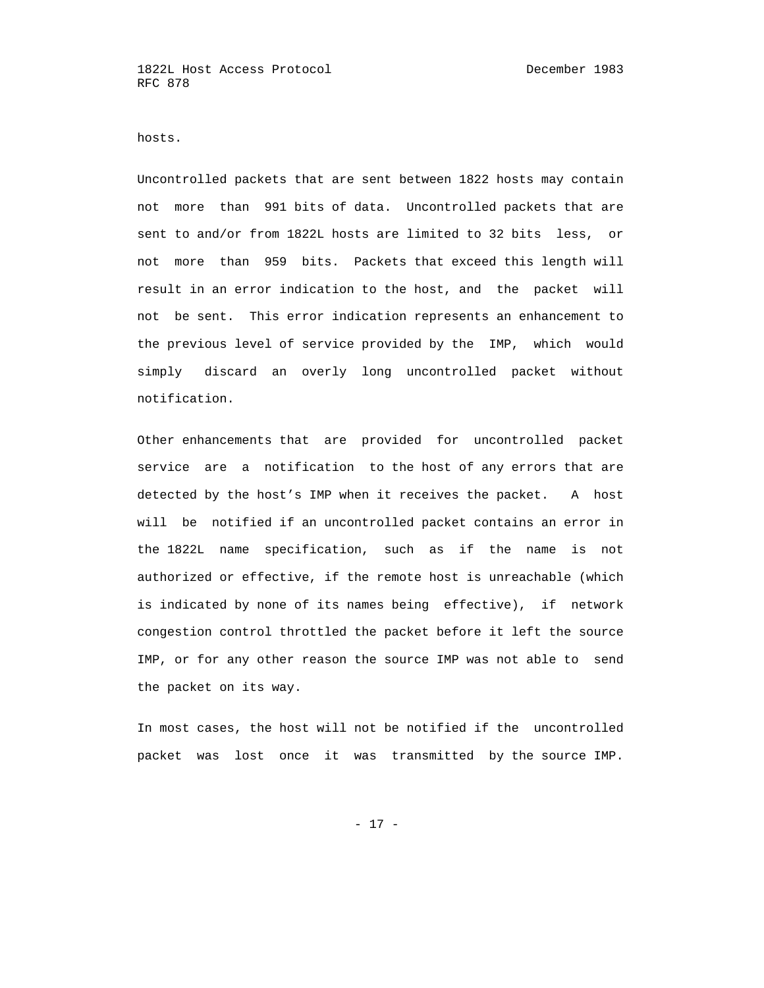hosts.

 Uncontrolled packets that are sent between 1822 hosts may contain not more than 991 bits of data. Uncontrolled packets that are sent to and/or from 1822L hosts are limited to 32 bits less, or not more than 959 bits. Packets that exceed this length will result in an error indication to the host, and the packet will not be sent. This error indication represents an enhancement to the previous level of service provided by the IMP, which would simply discard an overly long uncontrolled packet without notification.

 Other enhancements that are provided for uncontrolled packet service are a notification to the host of any errors that are detected by the host's IMP when it receives the packet. A host will be notified if an uncontrolled packet contains an error in the 1822L name specification, such as if the name is not authorized or effective, if the remote host is unreachable (which is indicated by none of its names being effective), if network congestion control throttled the packet before it left the source IMP, or for any other reason the source IMP was not able to send the packet on its way.

 In most cases, the host will not be notified if the uncontrolled packet was lost once it was transmitted by the source IMP.

- 17 -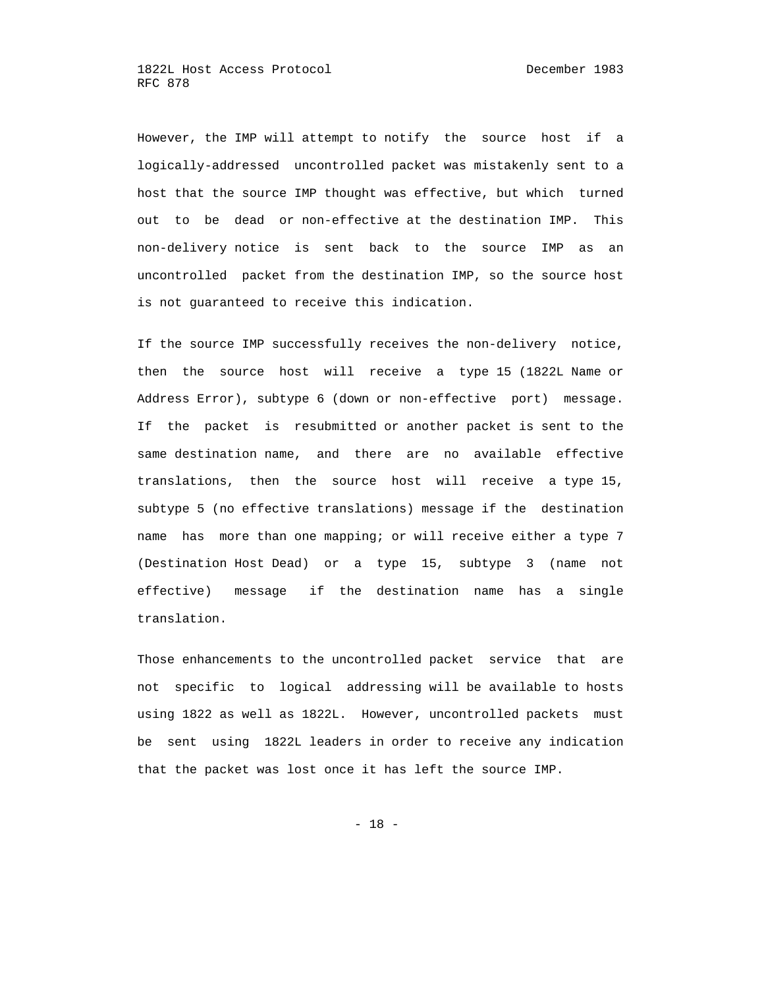However, the IMP will attempt to notify the source host if a logically-addressed uncontrolled packet was mistakenly sent to a host that the source IMP thought was effective, but which turned out to be dead or non-effective at the destination IMP. This non-delivery notice is sent back to the source IMP as an uncontrolled packet from the destination IMP, so the source host is not guaranteed to receive this indication.

 If the source IMP successfully receives the non-delivery notice, then the source host will receive a type 15 (1822L Name or Address Error), subtype 6 (down or non-effective port) message. If the packet is resubmitted or another packet is sent to the same destination name, and there are no available effective translations, then the source host will receive a type 15, subtype 5 (no effective translations) message if the destination name has more than one mapping; or will receive either a type 7 (Destination Host Dead) or a type 15, subtype 3 (name not effective) message if the destination name has a single translation.

 Those enhancements to the uncontrolled packet service that are not specific to logical addressing will be available to hosts using 1822 as well as 1822L. However, uncontrolled packets must be sent using 1822L leaders in order to receive any indication that the packet was lost once it has left the source IMP.

- 18 -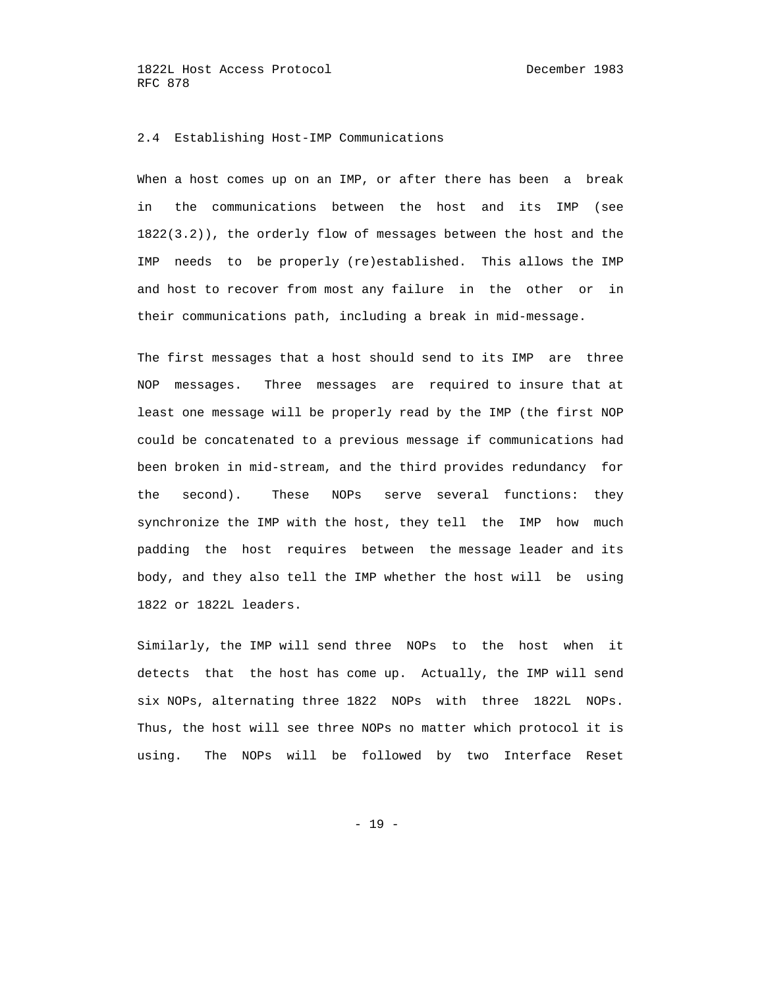#### 2.4 Establishing Host-IMP Communications

 When a host comes up on an IMP, or after there has been a break in the communications between the host and its IMP (see 1822(3.2)), the orderly flow of messages between the host and the IMP needs to be properly (re)established. This allows the IMP and host to recover from most any failure in the other or in their communications path, including a break in mid-message.

 The first messages that a host should send to its IMP are three NOP messages. Three messages are required to insure that at least one message will be properly read by the IMP (the first NOP could be concatenated to a previous message if communications had been broken in mid-stream, and the third provides redundancy for the second). These NOPs serve several functions: they synchronize the IMP with the host, they tell the IMP how much padding the host requires between the message leader and its body, and they also tell the IMP whether the host will be using 1822 or 1822L leaders.

 Similarly, the IMP will send three NOPs to the host when it detects that the host has come up. Actually, the IMP will send six NOPs, alternating three 1822 NOPs with three 1822L NOPs. Thus, the host will see three NOPs no matter which protocol it is using. The NOPs will be followed by two Interface Reset

- 19 -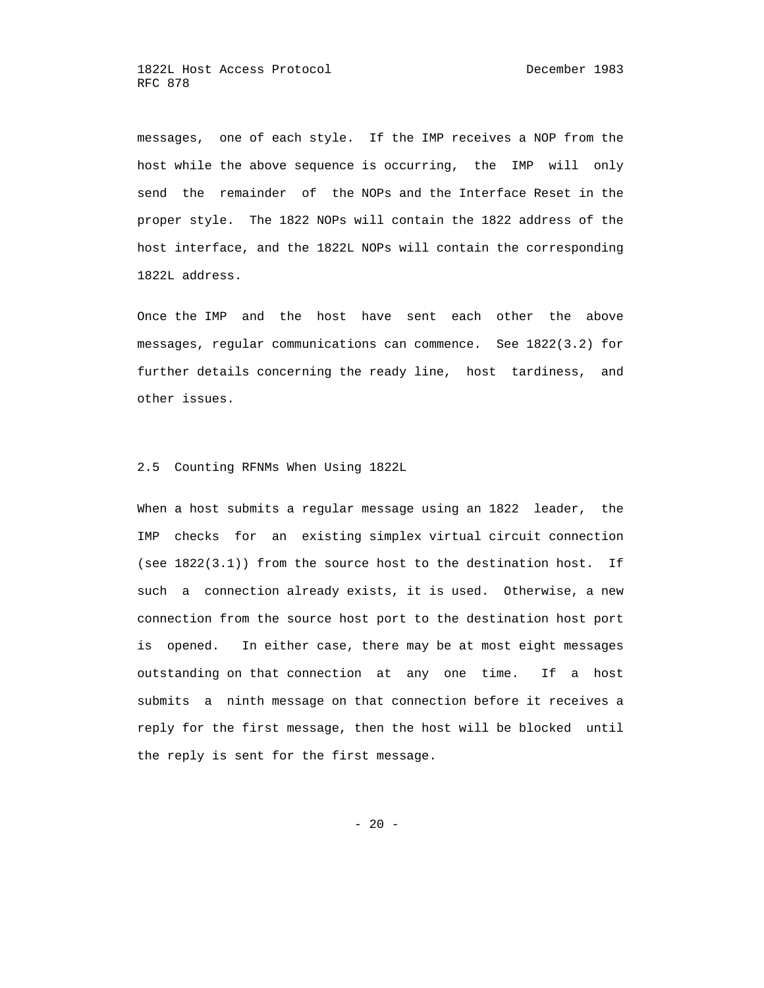messages, one of each style. If the IMP receives a NOP from the host while the above sequence is occurring, the IMP will only send the remainder of the NOPs and the Interface Reset in the proper style. The 1822 NOPs will contain the 1822 address of the host interface, and the 1822L NOPs will contain the corresponding 1822L address.

 Once the IMP and the host have sent each other the above messages, regular communications can commence. See 1822(3.2) for further details concerning the ready line, host tardiness, and other issues.

#### 2.5 Counting RFNMs When Using 1822L

 When a host submits a regular message using an 1822 leader, the IMP checks for an existing simplex virtual circuit connection (see 1822(3.1)) from the source host to the destination host. If such a connection already exists, it is used. Otherwise, a new connection from the source host port to the destination host port is opened. In either case, there may be at most eight messages outstanding on that connection at any one time. If a host submits a ninth message on that connection before it receives a reply for the first message, then the host will be blocked until the reply is sent for the first message.

 $- 20 -$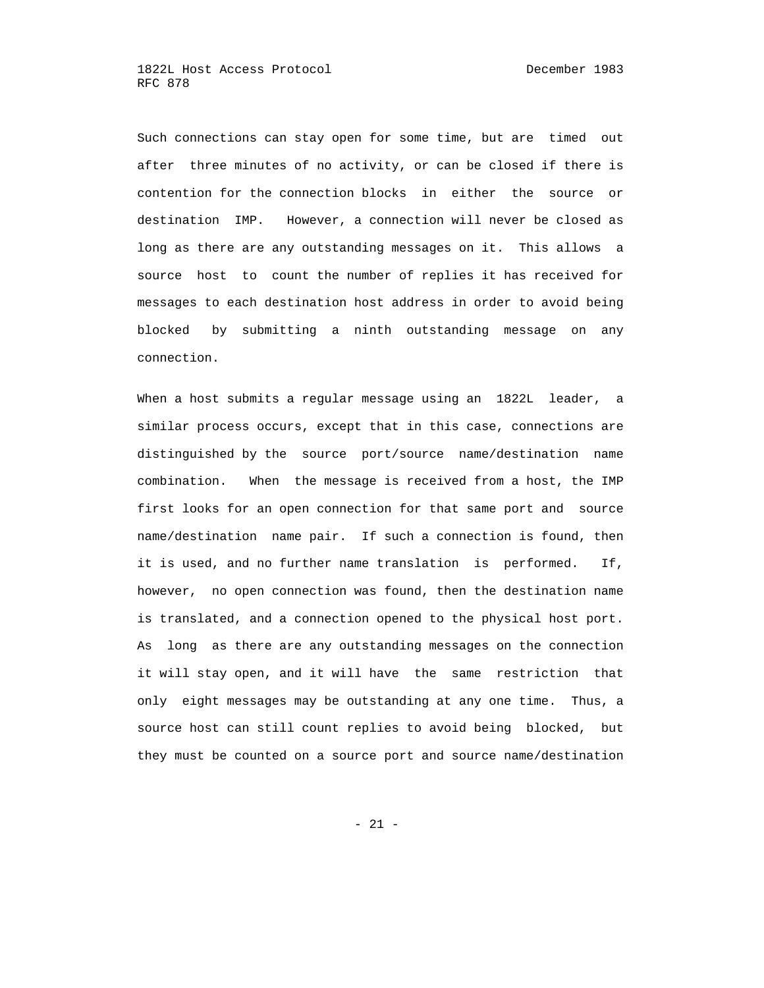Such connections can stay open for some time, but are timed out after three minutes of no activity, or can be closed if there is contention for the connection blocks in either the source or destination IMP. However, a connection will never be closed as long as there are any outstanding messages on it. This allows a source host to count the number of replies it has received for messages to each destination host address in order to avoid being blocked by submitting a ninth outstanding message on any connection.

 When a host submits a regular message using an 1822L leader, a similar process occurs, except that in this case, connections are distinguished by the source port/source name/destination name combination. When the message is received from a host, the IMP first looks for an open connection for that same port and source name/destination name pair. If such a connection is found, then it is used, and no further name translation is performed. If, however, no open connection was found, then the destination name is translated, and a connection opened to the physical host port. As long as there are any outstanding messages on the connection it will stay open, and it will have the same restriction that only eight messages may be outstanding at any one time. Thus, a source host can still count replies to avoid being blocked, but they must be counted on a source port and source name/destination

- 21 -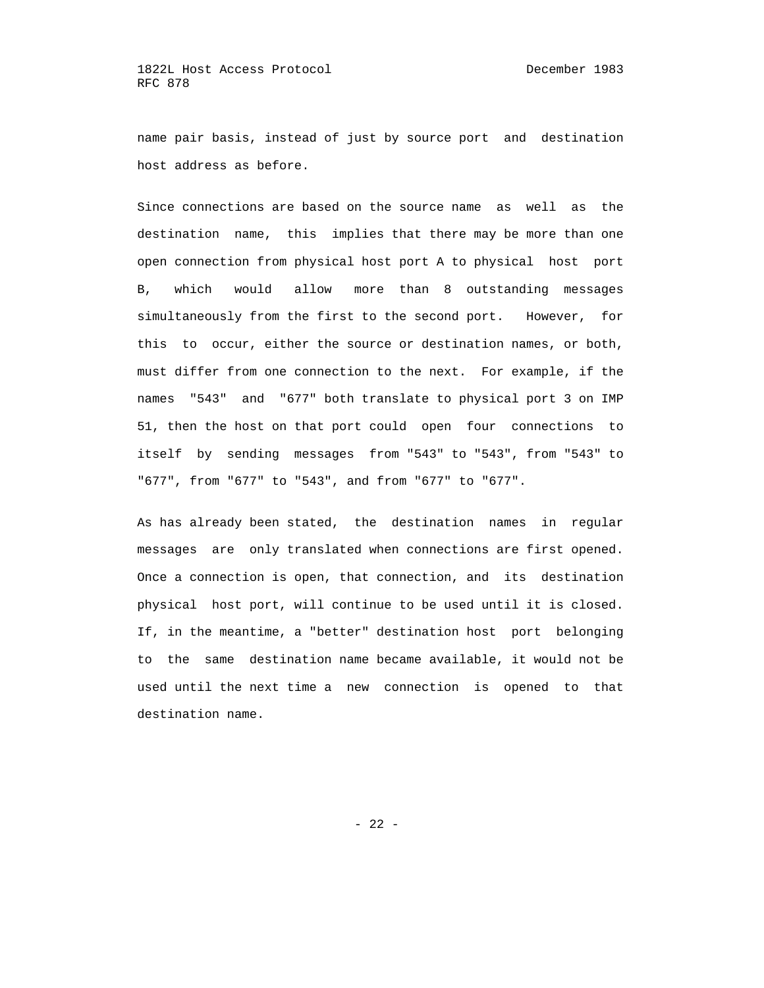name pair basis, instead of just by source port and destination host address as before.

 Since connections are based on the source name as well as the destination name, this implies that there may be more than one open connection from physical host port A to physical host port B, which would allow more than 8 outstanding messages simultaneously from the first to the second port. However, for this to occur, either the source or destination names, or both, must differ from one connection to the next. For example, if the names "543" and "677" both translate to physical port 3 on IMP 51, then the host on that port could open four connections to itself by sending messages from "543" to "543", from "543" to "677", from "677" to "543", and from "677" to "677".

 As has already been stated, the destination names in regular messages are only translated when connections are first opened. Once a connection is open, that connection, and its destination physical host port, will continue to be used until it is closed. If, in the meantime, a "better" destination host port belonging to the same destination name became available, it would not be used until the next time a new connection is opened to that destination name.

- 22 -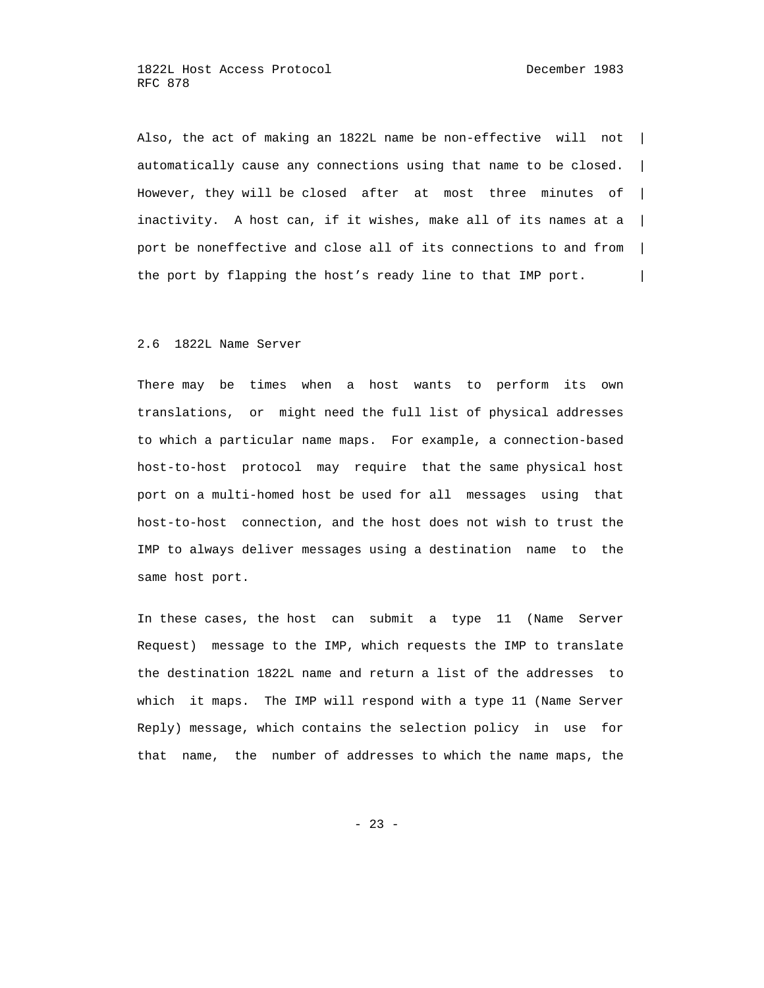Also, the act of making an 1822L name be non-effective will not | automatically cause any connections using that name to be closed.  $|$  However, they will be closed after at most three minutes of | inactivity. A host can, if it wishes, make all of its names at a  $|$  port be noneffective and close all of its connections to and from | the port by flapping the host's ready line to that IMP port.

#### 2.6 1822L Name Server

 There may be times when a host wants to perform its own translations, or might need the full list of physical addresses to which a particular name maps. For example, a connection-based host-to-host protocol may require that the same physical host port on a multi-homed host be used for all messages using that host-to-host connection, and the host does not wish to trust the IMP to always deliver messages using a destination name to the same host port.

 In these cases, the host can submit a type 11 (Name Server Request) message to the IMP, which requests the IMP to translate the destination 1822L name and return a list of the addresses to which it maps. The IMP will respond with a type 11 (Name Server Reply) message, which contains the selection policy in use for that name, the number of addresses to which the name maps, the

 $- 23 -$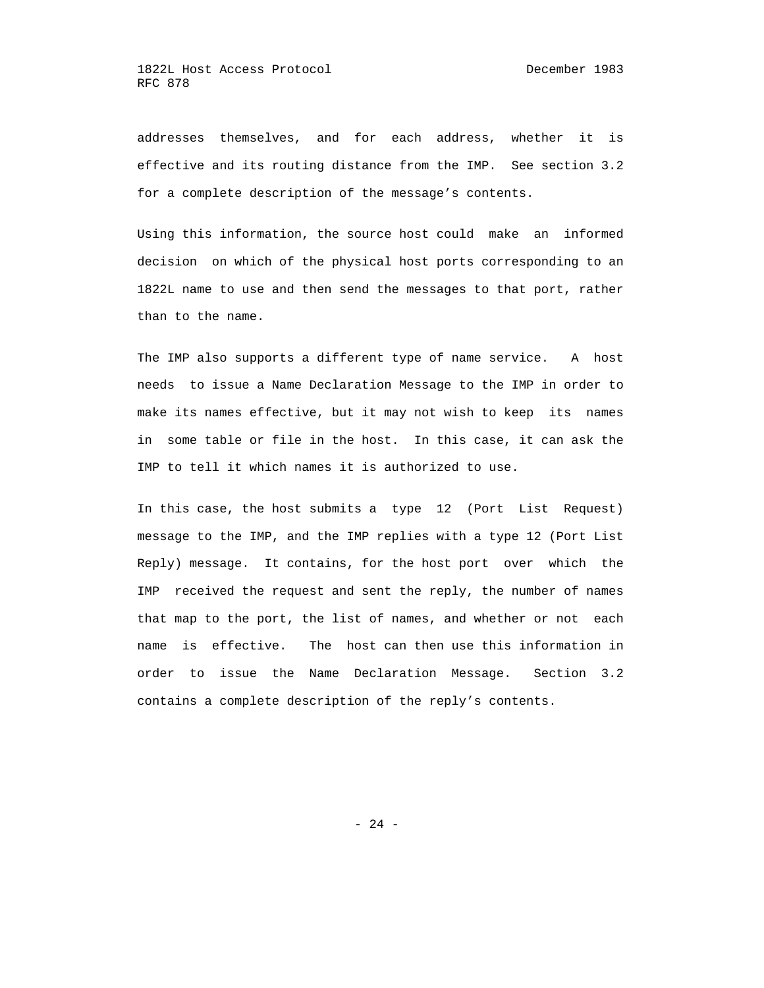addresses themselves, and for each address, whether it is effective and its routing distance from the IMP. See section 3.2 for a complete description of the message's contents.

 Using this information, the source host could make an informed decision on which of the physical host ports corresponding to an 1822L name to use and then send the messages to that port, rather than to the name.

 The IMP also supports a different type of name service. A host needs to issue a Name Declaration Message to the IMP in order to make its names effective, but it may not wish to keep its names in some table or file in the host. In this case, it can ask the IMP to tell it which names it is authorized to use.

 In this case, the host submits a type 12 (Port List Request) message to the IMP, and the IMP replies with a type 12 (Port List Reply) message. It contains, for the host port over which the IMP received the request and sent the reply, the number of names that map to the port, the list of names, and whether or not each name is effective. The host can then use this information in order to issue the Name Declaration Message. Section 3.2 contains a complete description of the reply's contents.

- 24 -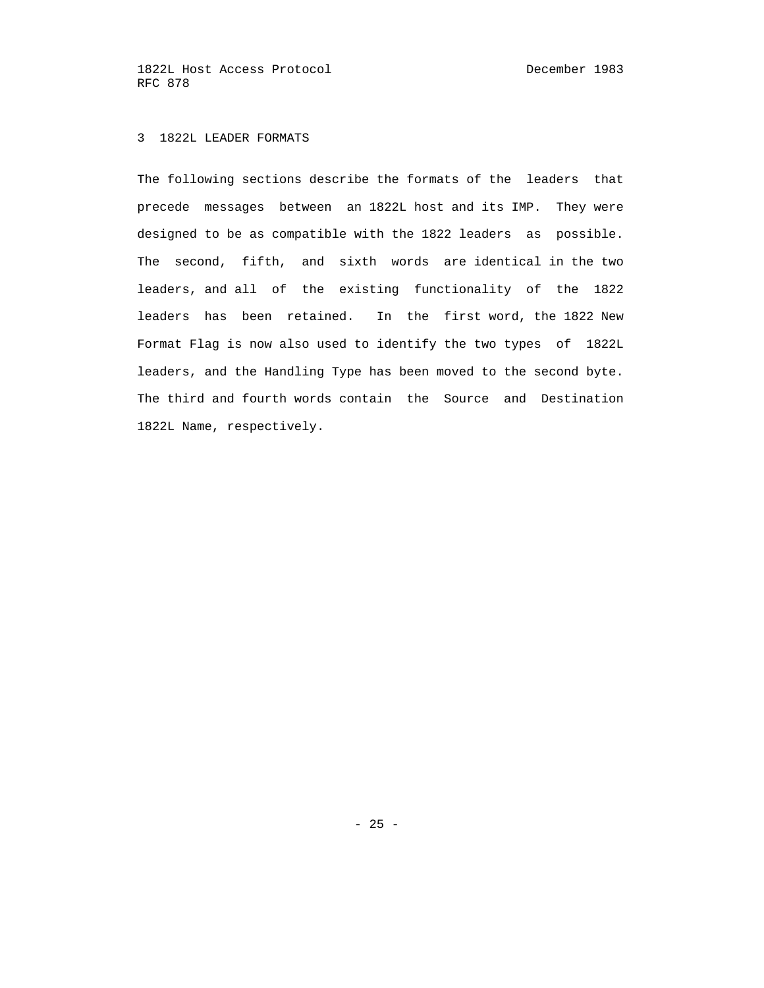# 3 1822L LEADER FORMATS

 The following sections describe the formats of the leaders that precede messages between an 1822L host and its IMP. They were designed to be as compatible with the 1822 leaders as possible. The second, fifth, and sixth words are identical in the two leaders, and all of the existing functionality of the 1822 leaders has been retained. In the first word, the 1822 New Format Flag is now also used to identify the two types of 1822L leaders, and the Handling Type has been moved to the second byte. The third and fourth words contain the Source and Destination 1822L Name, respectively.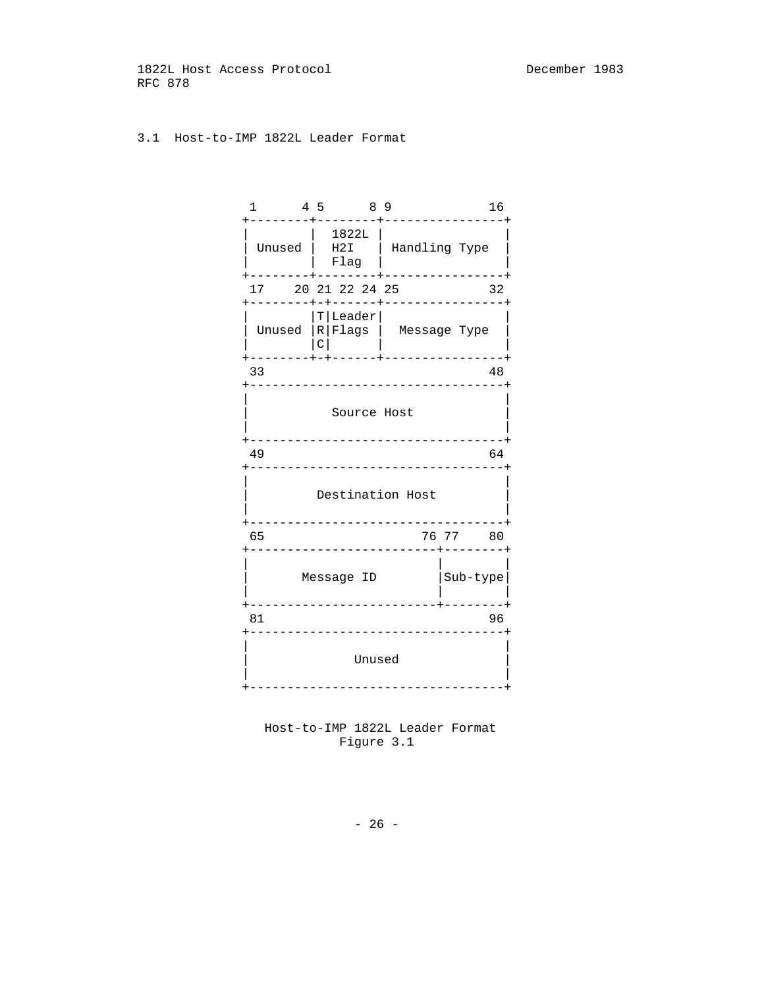# 3.1 Host-to-IMP 1822L Leader Format

| 1                                                  |   | 4 5 8 9<br>------+ |                                                                  |          | 16 |
|----------------------------------------------------|---|--------------------|------------------------------------------------------------------|----------|----|
|                                                    |   | 1822L<br>Flag      | Unused   H2I   Handling Type<br>---+---------+-----------------+ |          |    |
| 17 20 21 22 24 25                                  |   |                    |                                                                  |          | 32 |
| +--------+-+------+----------------+<br>---------  | C | $ T $ Leader $ $   | Unused $ R $ Flags $ $ Message Type<br>-----+-----------------   |          |    |
| 33                                                 |   |                    | -----------------------------------                              |          | 48 |
|                                                    |   | Source Host        | ________________                                                 |          |    |
| 49                                                 |   |                    |                                                                  |          | 64 |
| ------------------------------<br>Destination Host |   |                    |                                                                  |          |    |
| 65                                                 |   |                    | ---------------<br>-------------------------+-------             | 76 77 80 |    |
|                                                    |   |                    | Message ID                                                       | Sub-type |    |
| 81                                                 |   |                    |                                                                  |          | 96 |
|                                                    |   | Unused             | ------------------------------                                   |          |    |



- 26 -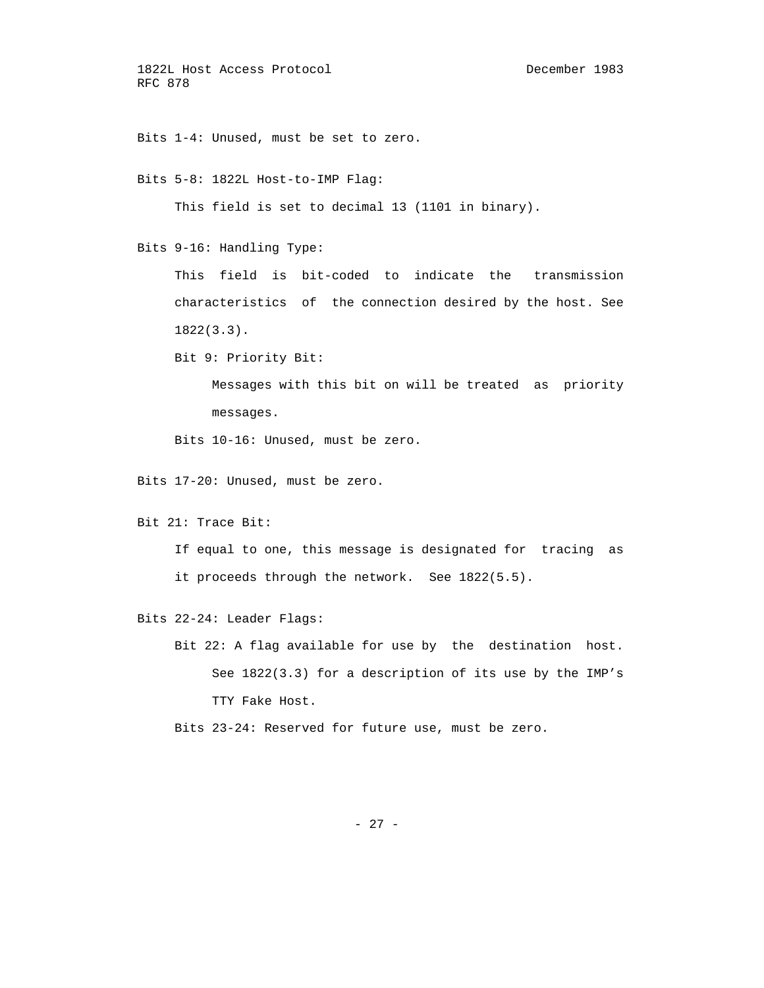Bits 1-4: Unused, must be set to zero.

Bits 5-8: 1822L Host-to-IMP Flag:

This field is set to decimal 13 (1101 in binary).

Bits 9-16: Handling Type:

 This field is bit-coded to indicate the transmission characteristics of the connection desired by the host. See 1822(3.3).

Bit 9: Priority Bit:

 Messages with this bit on will be treated as priority messages.

Bits 10-16: Unused, must be zero.

Bits 17-20: Unused, must be zero.

Bit 21: Trace Bit:

 If equal to one, this message is designated for tracing as it proceeds through the network. See 1822(5.5).

Bits 22-24: Leader Flags:

 Bit 22: A flag available for use by the destination host. See 1822(3.3) for a description of its use by the IMP's TTY Fake Host.

Bits 23-24: Reserved for future use, must be zero.

- 27 -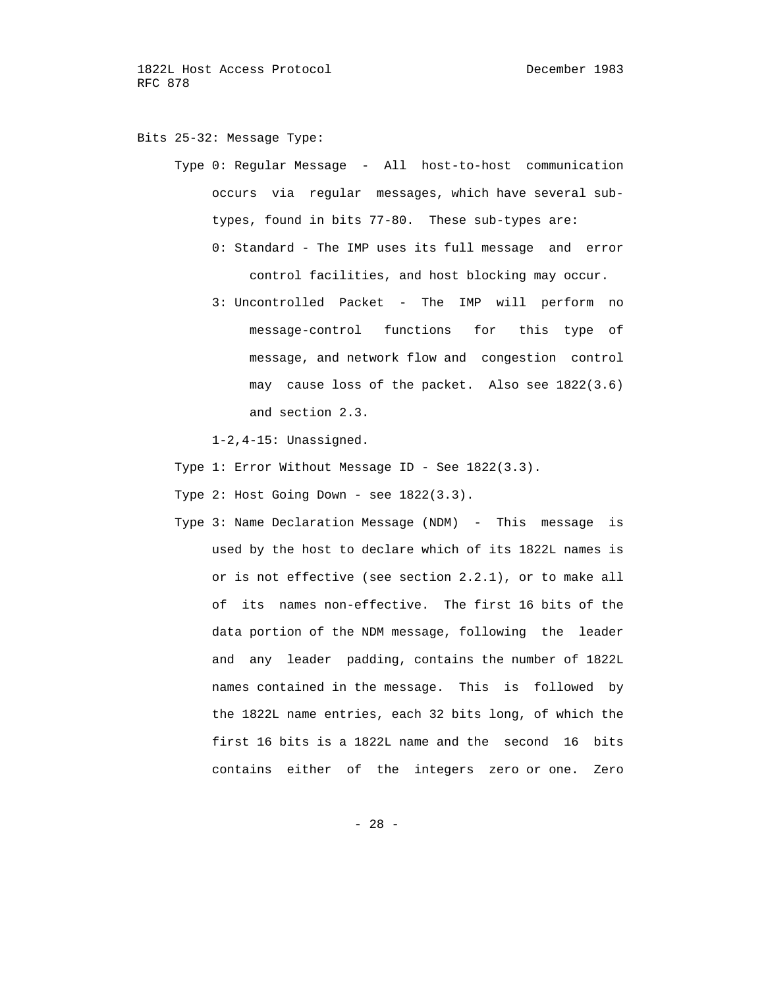Bits 25-32: Message Type:

 Type 0: Regular Message - All host-to-host communication occurs via regular messages, which have several sub types, found in bits 77-80. These sub-types are: 0: Standard - The IMP uses its full message and error

control facilities, and host blocking may occur.

 3: Uncontrolled Packet - The IMP will perform no message-control functions for this type of message, and network flow and congestion control may cause loss of the packet. Also see 1822(3.6) and section 2.3.

1-2,4-15: Unassigned.

- Type 1: Error Without Message ID See 1822(3.3).
- Type 2: Host Going Down see 1822(3.3).
- Type 3: Name Declaration Message (NDM) This message is used by the host to declare which of its 1822L names is or is not effective (see section 2.2.1), or to make all of its names non-effective. The first 16 bits of the data portion of the NDM message, following the leader and any leader padding, contains the number of 1822L names contained in the message. This is followed by the 1822L name entries, each 32 bits long, of which the first 16 bits is a 1822L name and the second 16 bits contains either of the integers zero or one. Zero

- 28 -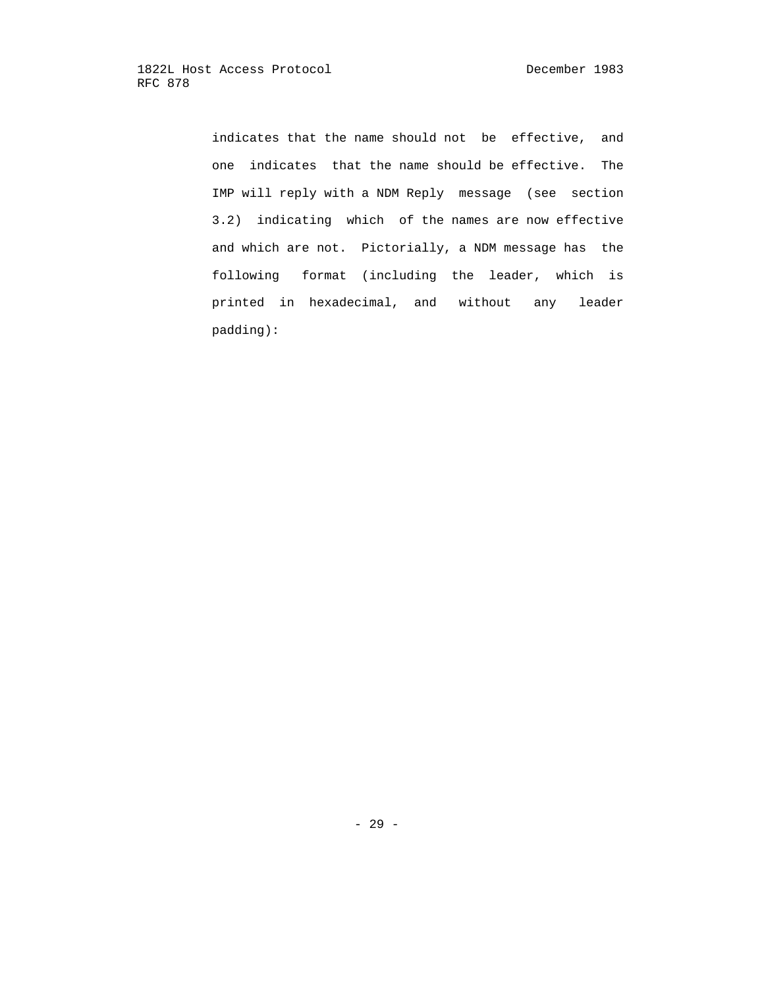indicates that the name should not be effective, and one indicates that the name should be effective. The IMP will reply with a NDM Reply message (see section 3.2) indicating which of the names are now effective and which are not. Pictorially, a NDM message has the following format (including the leader, which is printed in hexadecimal, and without any leader padding):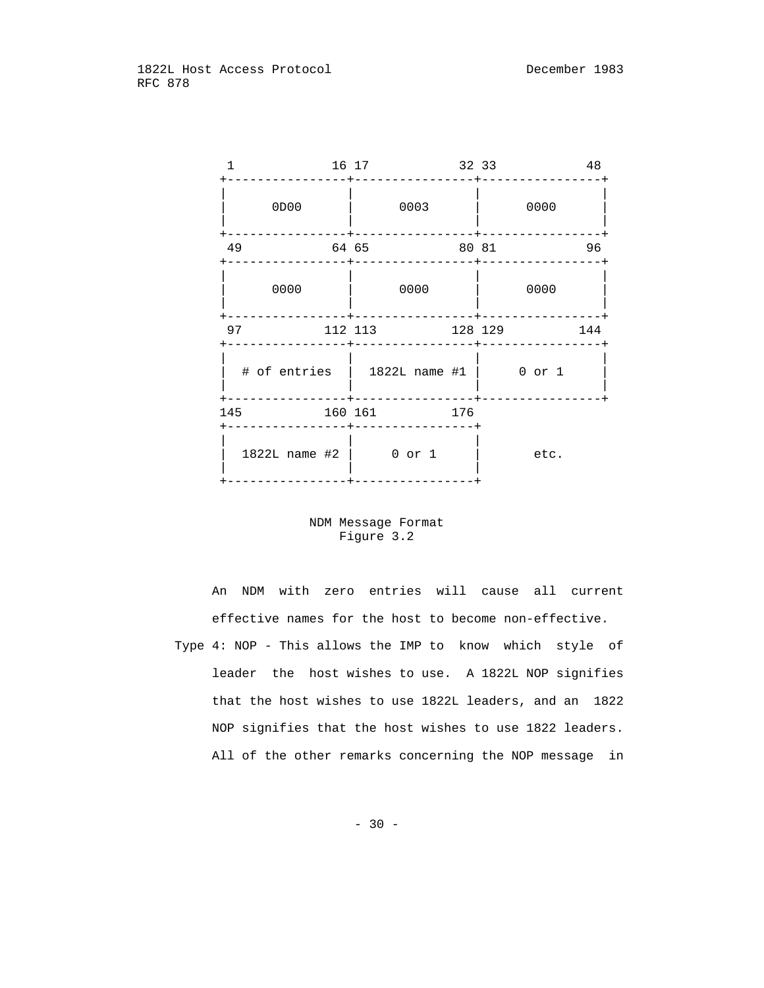|      | 16 17   |                                             | 32 33   |      | 48  |
|------|---------|---------------------------------------------|---------|------|-----|
| 0D00 |         | 0003                                        |         | 0000 |     |
| 49   | 64 65   |                                             | 80 81   |      | 96  |
| 0000 |         | 0000                                        |         | 0000 |     |
| 97   |         | 112 113                                     | 128 129 |      | 144 |
|      |         | $\#$ of entries   1822L name $\#1$   0 or 1 |         |      |     |
| 145  | 160 161 |                                             | 176     |      |     |
|      |         | 1822L name #2   0 or 1                      |         | etc. |     |

## NDM Message Format Figure 3.2

 An NDM with zero entries will cause all current effective names for the host to become non-effective. Type 4: NOP - This allows the IMP to know which style of leader the host wishes to use. A 1822L NOP signifies that the host wishes to use 1822L leaders, and an 1822 NOP signifies that the host wishes to use 1822 leaders. All of the other remarks concerning the NOP message in

- 30 -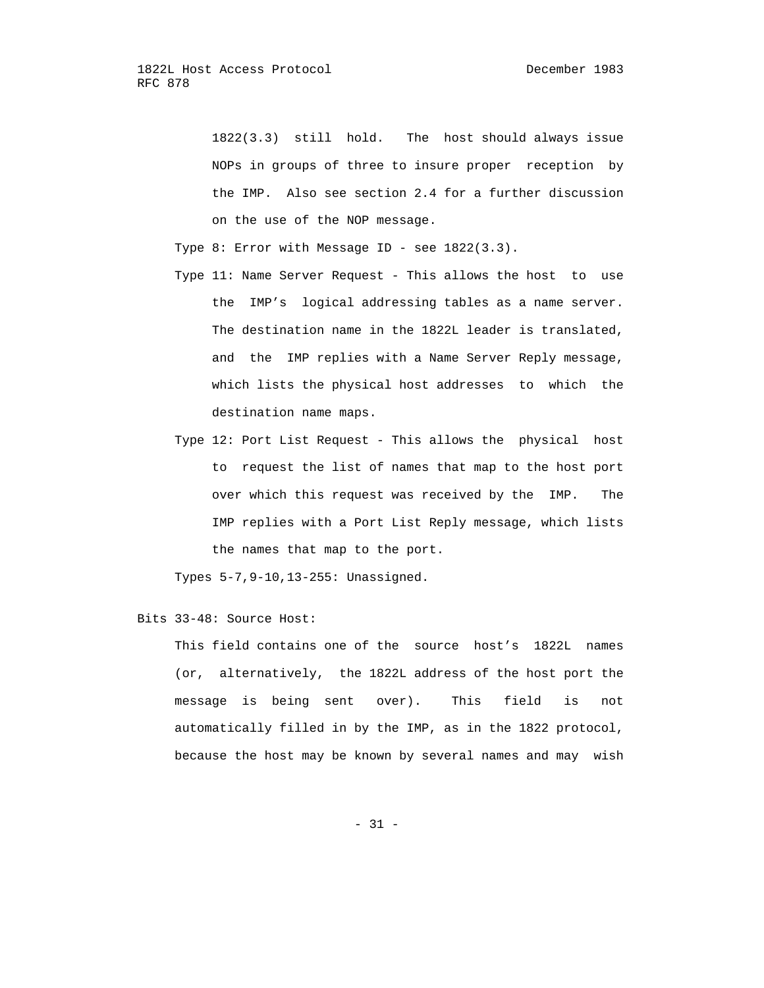1822(3.3) still hold. The host should always issue NOPs in groups of three to insure proper reception by the IMP. Also see section 2.4 for a further discussion on the use of the NOP message.

Type 8: Error with Message ID - see 1822(3.3).

- Type 11: Name Server Request This allows the host to use the IMP's logical addressing tables as a name server. The destination name in the 1822L leader is translated, and the IMP replies with a Name Server Reply message, which lists the physical host addresses to which the destination name maps.
- Type 12: Port List Request This allows the physical host to request the list of names that map to the host port over which this request was received by the IMP. The IMP replies with a Port List Reply message, which lists the names that map to the port.

Types 5-7,9-10,13-255: Unassigned.

Bits 33-48: Source Host:

 This field contains one of the source host's 1822L names (or, alternatively, the 1822L address of the host port the message is being sent over). This field is not automatically filled in by the IMP, as in the 1822 protocol, because the host may be known by several names and may wish

 $- 31 -$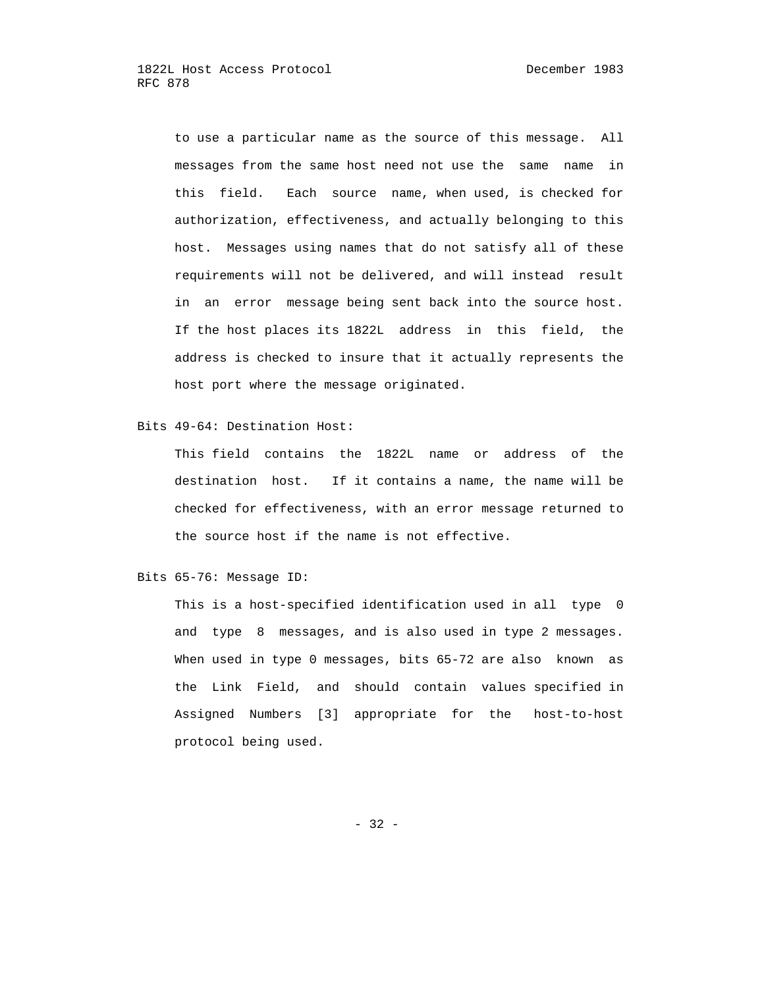to use a particular name as the source of this message. All messages from the same host need not use the same name in this field. Each source name, when used, is checked for authorization, effectiveness, and actually belonging to this host. Messages using names that do not satisfy all of these requirements will not be delivered, and will instead result in an error message being sent back into the source host. If the host places its 1822L address in this field, the address is checked to insure that it actually represents the host port where the message originated.

# Bits 49-64: Destination Host:

 This field contains the 1822L name or address of the destination host. If it contains a name, the name will be checked for effectiveness, with an error message returned to the source host if the name is not effective.

#### Bits 65-76: Message ID:

 This is a host-specified identification used in all type 0 and type 8 messages, and is also used in type 2 messages. When used in type 0 messages, bits 65-72 are also known as the Link Field, and should contain values specified in Assigned Numbers [3] appropriate for the host-to-host protocol being used.

- 32 -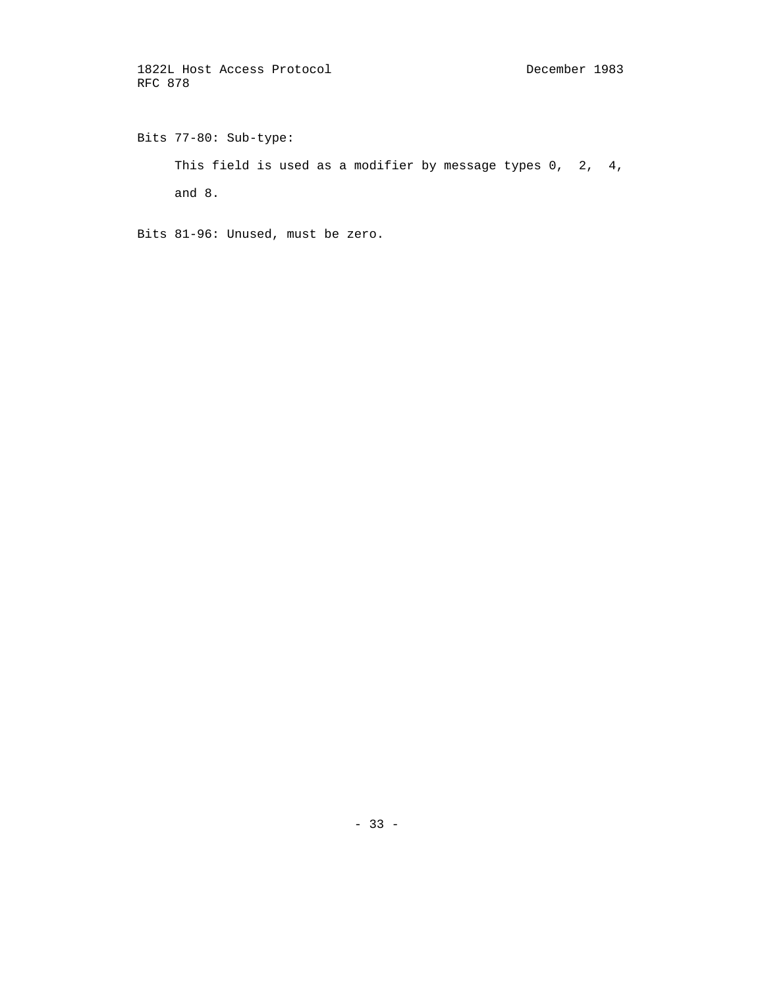Bits 77-80: Sub-type: This field is used as a modifier by message types 0, 2, 4, and 8.

Bits 81-96: Unused, must be zero.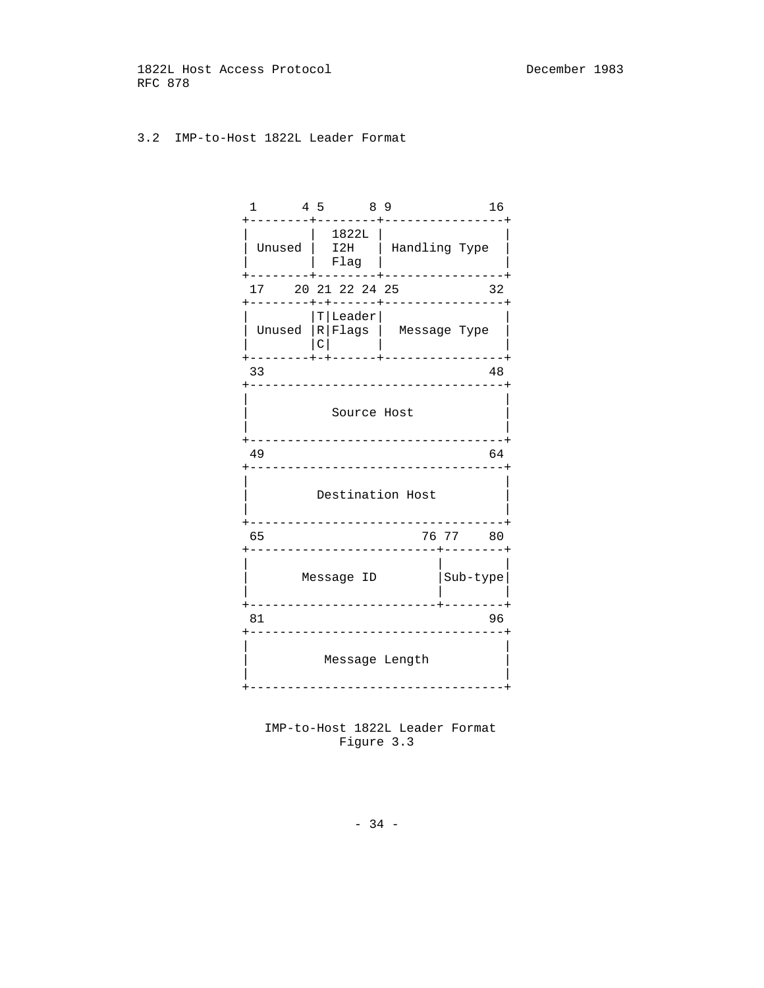# 3.2 IMP-to-Host 1822L Leader Format

| 1<br>- - - - - - - 4           | 4 5 8 9<br>-------                                                   |                         | 16                                   |  |  |
|--------------------------------|----------------------------------------------------------------------|-------------------------|--------------------------------------|--|--|
|                                | 1822L  <br>Unused   I2H   Handling Type<br>Flag<br>-------+--------+ |                         | ---------------+                     |  |  |
|                                | 17 20 21 22 24 25<br>--------+-+------+---------------               |                         | 32                                   |  |  |
|                                | $ T $ Leader $ $<br>Unused  R Flags    Message Type<br>$\mathcal{C}$ |                         | --------+-+------+-----------------+ |  |  |
| 33                             | ---------------------------------                                    |                         | 48                                   |  |  |
|                                | Source Host                                                          | ------------------      |                                      |  |  |
| 49                             |                                                                      |                         | 64                                   |  |  |
| ----------<br>Destination Host |                                                                      |                         |                                      |  |  |
| 65                             |                                                                      | ______________          | 76 77 80                             |  |  |
|                                |                                                                      |                         | Message ID $ Sub-type $              |  |  |
| 81                             |                                                                      | _______________________ | 96                                   |  |  |
|                                | Message Length<br>--------------------------                         |                         |                                      |  |  |



- 34 -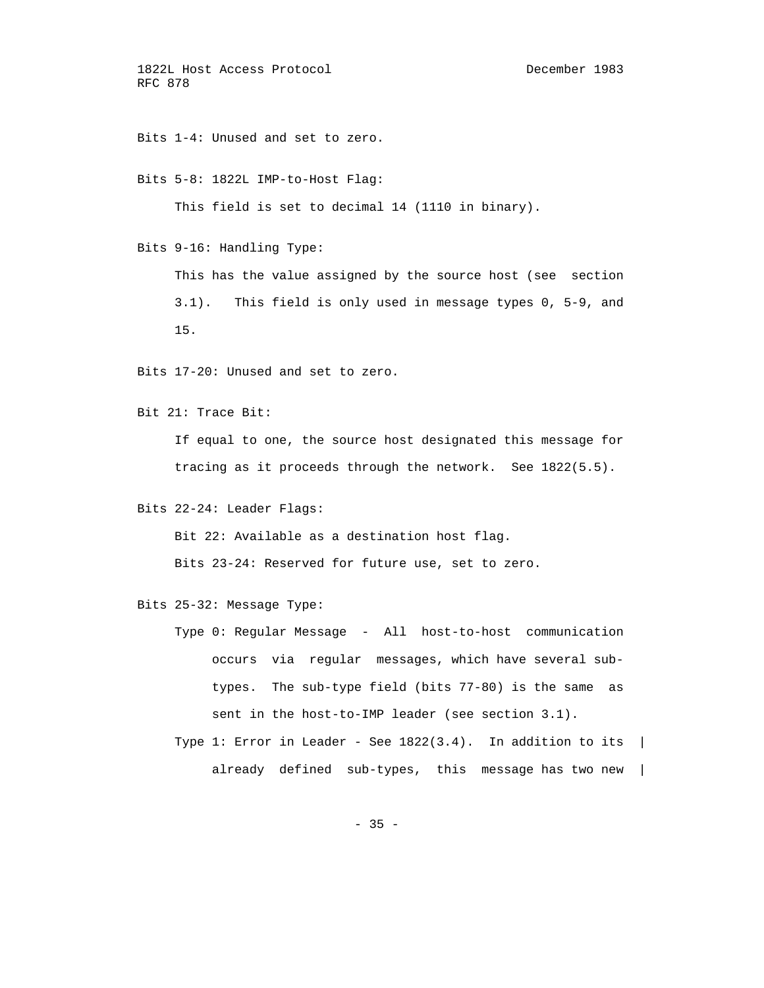Bits 1-4: Unused and set to zero.

Bits 5-8: 1822L IMP-to-Host Flag:

This field is set to decimal 14 (1110 in binary).

Bits 9-16: Handling Type:

 This has the value assigned by the source host (see section 3.1). This field is only used in message types 0, 5-9, and 15.

Bits 17-20: Unused and set to zero.

Bit 21: Trace Bit:

 If equal to one, the source host designated this message for tracing as it proceeds through the network. See 1822(5.5).

Bits 22-24: Leader Flags:

Bit 22: Available as a destination host flag.

Bits 23-24: Reserved for future use, set to zero.

Bits 25-32: Message Type:

- Type 0: Regular Message All host-to-host communication occurs via regular messages, which have several sub types. The sub-type field (bits 77-80) is the same as sent in the host-to-IMP leader (see section 3.1).
- Type 1: Error in Leader See  $1822(3.4)$ . In addition to its | already defined sub-types, this message has two new |

 $- 35 -$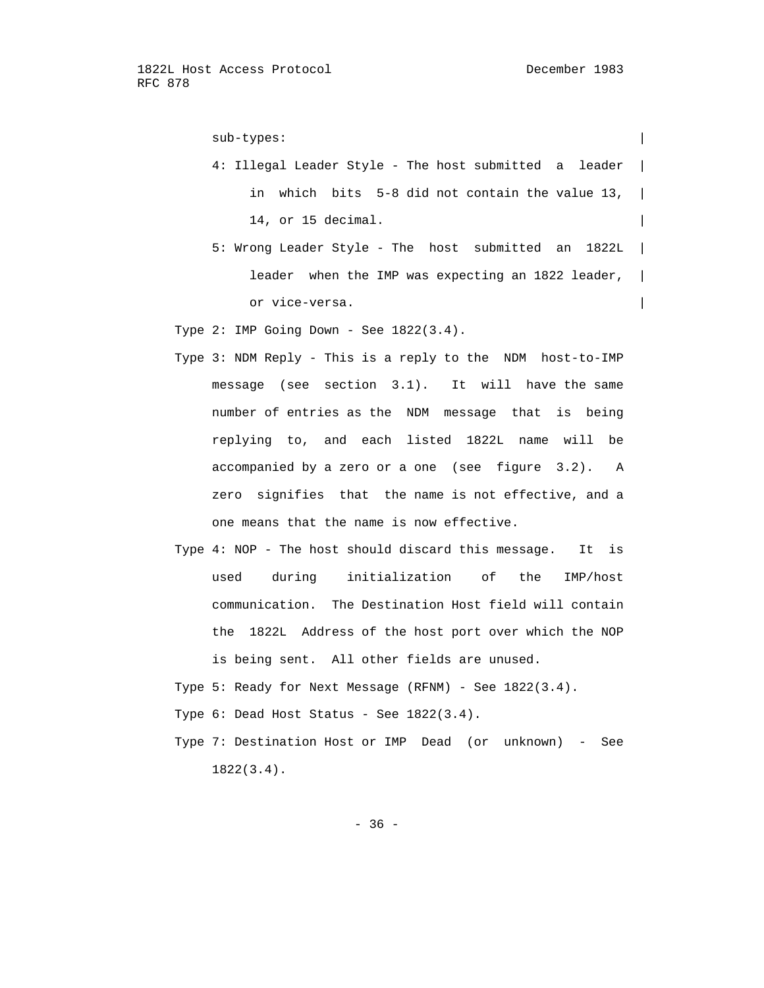sub-types:

- 4: Illegal Leader Style The host submitted a leader | in which bits  $5-8$  did not contain the value 13,  $|$ 14, or 15 decimal.
- 5: Wrong Leader Style The host submitted an 1822L | leader when the IMP was expecting an 1822 leader,  $|$ or vice-versa.
- Type  $2:$  IMP Going Down See  $1822(3.4)$ .
- Type 3: NDM Reply This is a reply to the NDM host-to-IMP message (see section 3.1). It will have the same number of entries as the NDM message that is being replying to, and each listed 1822L name will be accompanied by a zero or a one (see figure 3.2). A zero signifies that the name is not effective, and a one means that the name is now effective.
- Type 4: NOP The host should discard this message. It is used during initialization of the IMP/host communication. The Destination Host field will contain the 1822L Address of the host port over which the NOP is being sent. All other fields are unused.
- Type 5: Ready for Next Message (RFNM) See 1822(3.4).
- Type 6: Dead Host Status See 1822(3.4).
- Type 7: Destination Host or IMP Dead (or unknown) See 1822(3.4).

 $- 36 -$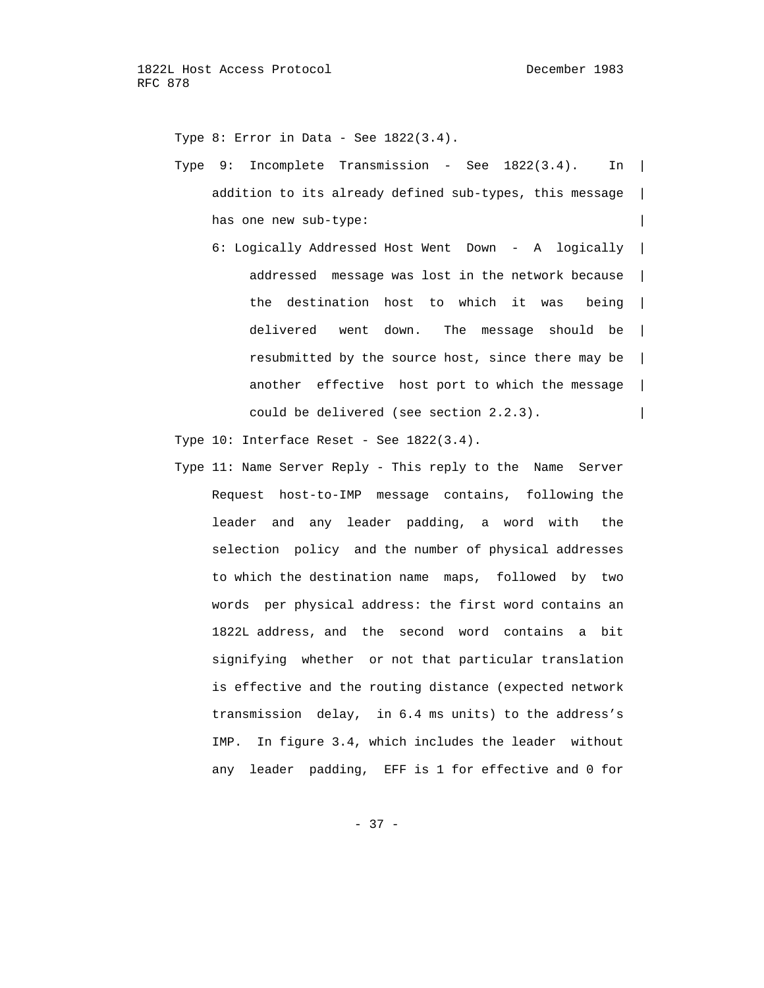Type 8: Error in Data - See 1822(3.4).

- Type 9: Incomplete Transmission See 1822(3.4). In | addition to its already defined sub-types, this message  $|$ has one new sub-type:  $\vert$ 
	- 6: Logically Addressed Host Went Down A logically | addressed message was lost in the network because | the destination host to which it was being | delivered went down. The message should be | resubmitted by the source host, since there may be | another effective host port to which the message | could be delivered (see section  $2.2.3$ ).

Type  $10:$  Interface Reset - See  $1822(3.4)$ .

 Type 11: Name Server Reply - This reply to the Name Server Request host-to-IMP message contains, following the leader and any leader padding, a word with the selection policy and the number of physical addresses to which the destination name maps, followed by two words per physical address: the first word contains an 1822L address, and the second word contains a bit signifying whether or not that particular translation is effective and the routing distance (expected network transmission delay, in 6.4 ms units) to the address's IMP. In figure 3.4, which includes the leader without any leader padding, EFF is 1 for effective and 0 for

- 37 -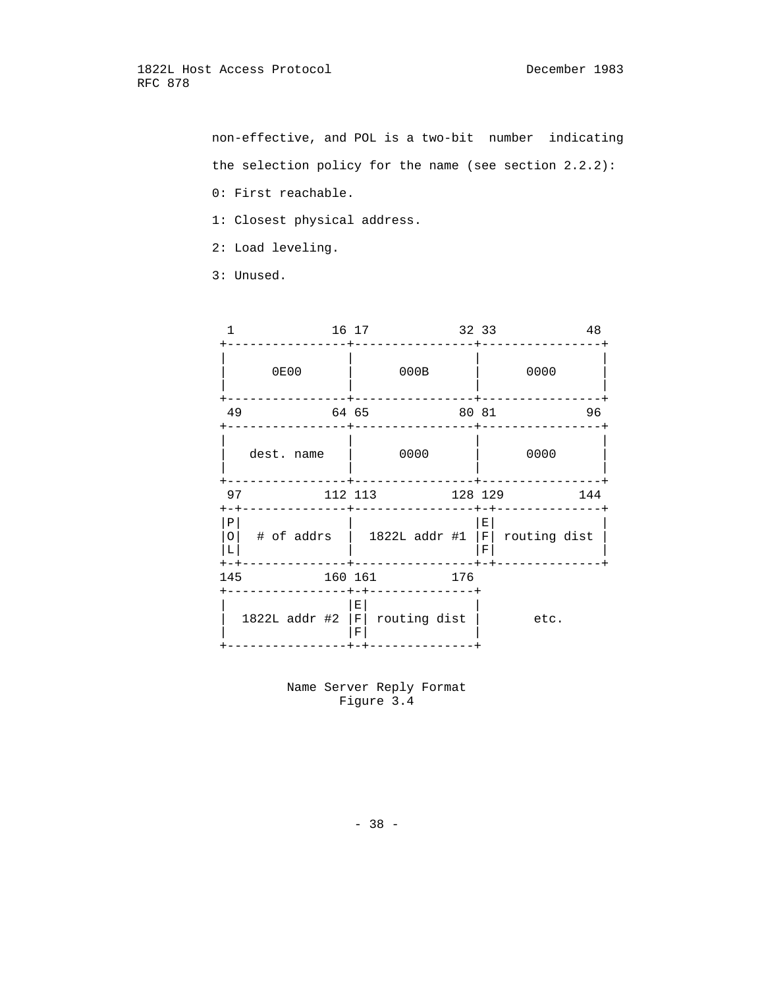non-effective, and POL is a two-bit number indicating the selection policy for the name (see section 2.2.2):

- 0: First reachable.
- 1: Closest physical address.
- 2: Load leveling.
- 3: Unused.

|                            |                 | 16 17   |                          |               |      | 32 33   |                      |                  | 48  |
|----------------------------|-----------------|---------|--------------------------|---------------|------|---------|----------------------|------------------|-----|
|                            | <b>0E00</b>     |         |                          |               | 000B |         |                      | 0000             |     |
| 49                         |                 | 64 65   |                          |               |      | 80 81   |                      |                  | 96  |
|                            | dest. name      |         |                          |               | 0000 |         |                      | 0000             |     |
| 97<br>$+-+$                |                 | 112 113 |                          |               |      | 128 129 |                      |                  | 144 |
| Ρ<br>$\circ$<br>L<br>$+-+$ | # of addrs      |         |                          | 1822L addr #1 |      |         | $E_{\parallel}$<br>F | $F$ routing dist |     |
| 145                        |                 | 160 161 |                          |               |      | 176     |                      |                  |     |
|                            | $1822L$ addr #2 |         | $\mathbf{E}$<br> F <br>F | routing dist  |      |         |                      | etc.             |     |

 Name Server Reply Format Figure 3.4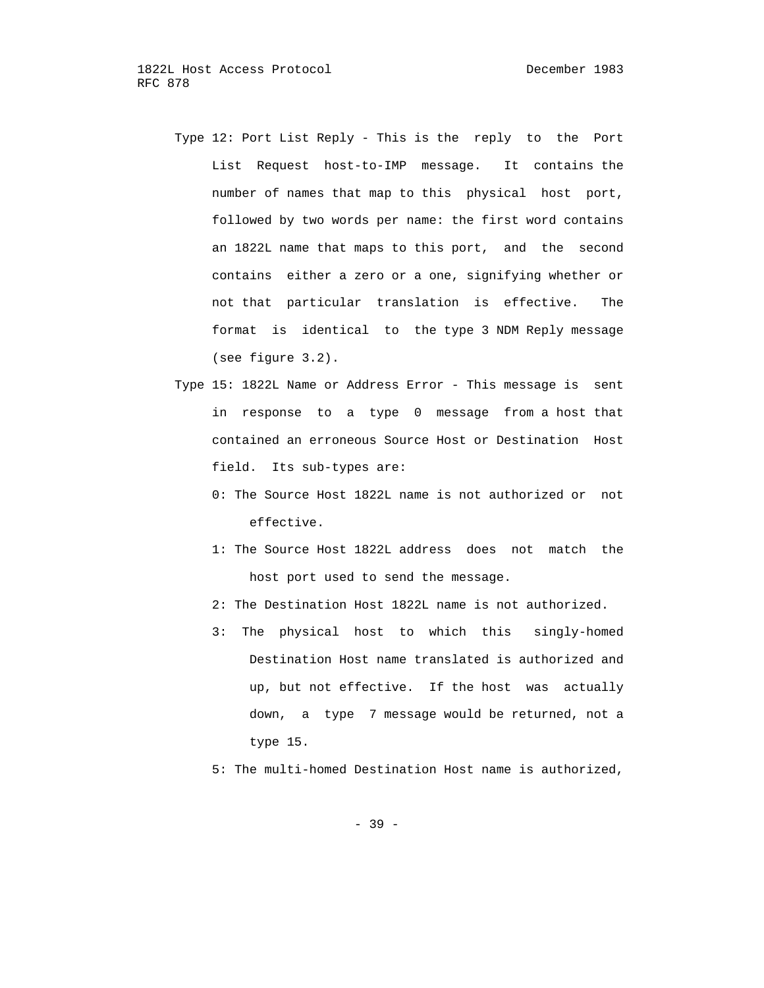- Type 12: Port List Reply This is the reply to the Port List Request host-to-IMP message. It contains the number of names that map to this physical host port, followed by two words per name: the first word contains an 1822L name that maps to this port, and the second contains either a zero or a one, signifying whether or not that particular translation is effective. The format is identical to the type 3 NDM Reply message (see figure 3.2).
- Type 15: 1822L Name or Address Error This message is sent in response to a type 0 message from a host that contained an erroneous Source Host or Destination Host field. Its sub-types are:
	- 0: The Source Host 1822L name is not authorized or not effective.
	- 1: The Source Host 1822L address does not match the host port used to send the message.
	- 2: The Destination Host 1822L name is not authorized.
	- 3: The physical host to which this singly-homed Destination Host name translated is authorized and up, but not effective. If the host was actually down, a type 7 message would be returned, not a type 15.
	- 5: The multi-homed Destination Host name is authorized,

- 39 -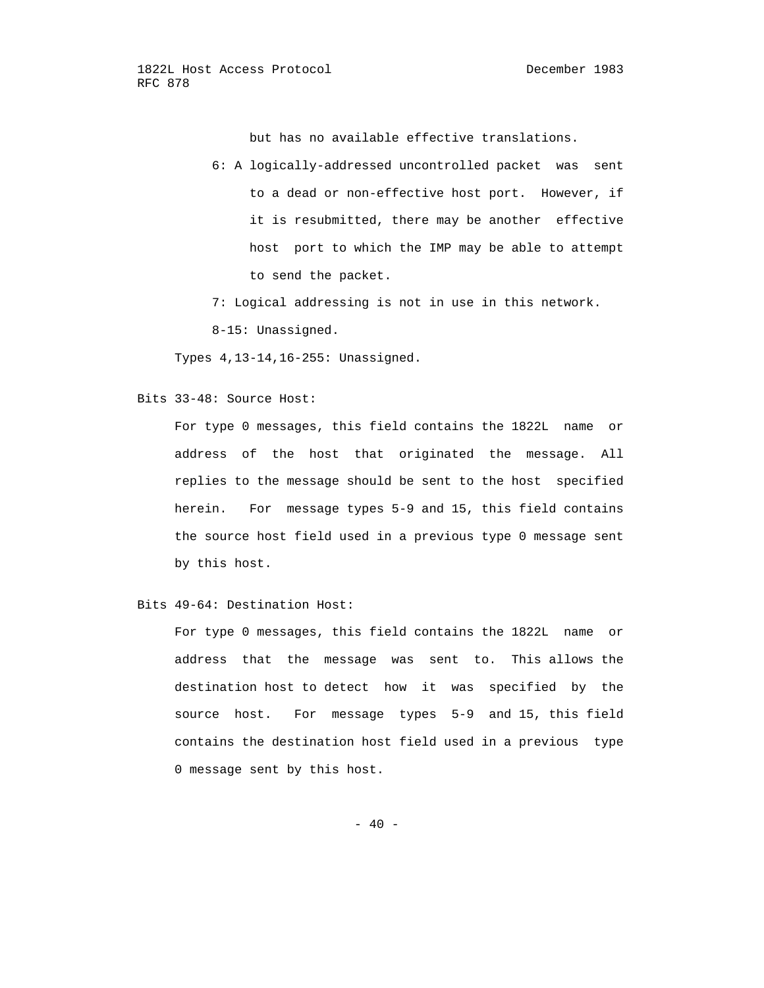but has no available effective translations.

- 6: A logically-addressed uncontrolled packet was sent to a dead or non-effective host port. However, if it is resubmitted, there may be another effective host port to which the IMP may be able to attempt to send the packet.
- 7: Logical addressing is not in use in this network.
- 8-15: Unassigned.

Types 4,13-14,16-255: Unassigned.

Bits 33-48: Source Host:

 For type 0 messages, this field contains the 1822L name or address of the host that originated the message. All replies to the message should be sent to the host specified herein. For message types 5-9 and 15, this field contains the source host field used in a previous type 0 message sent by this host.

Bits 49-64: Destination Host:

 For type 0 messages, this field contains the 1822L name or address that the message was sent to. This allows the destination host to detect how it was specified by the source host. For message types 5-9 and 15, this field contains the destination host field used in a previous type 0 message sent by this host.

 $- 40 -$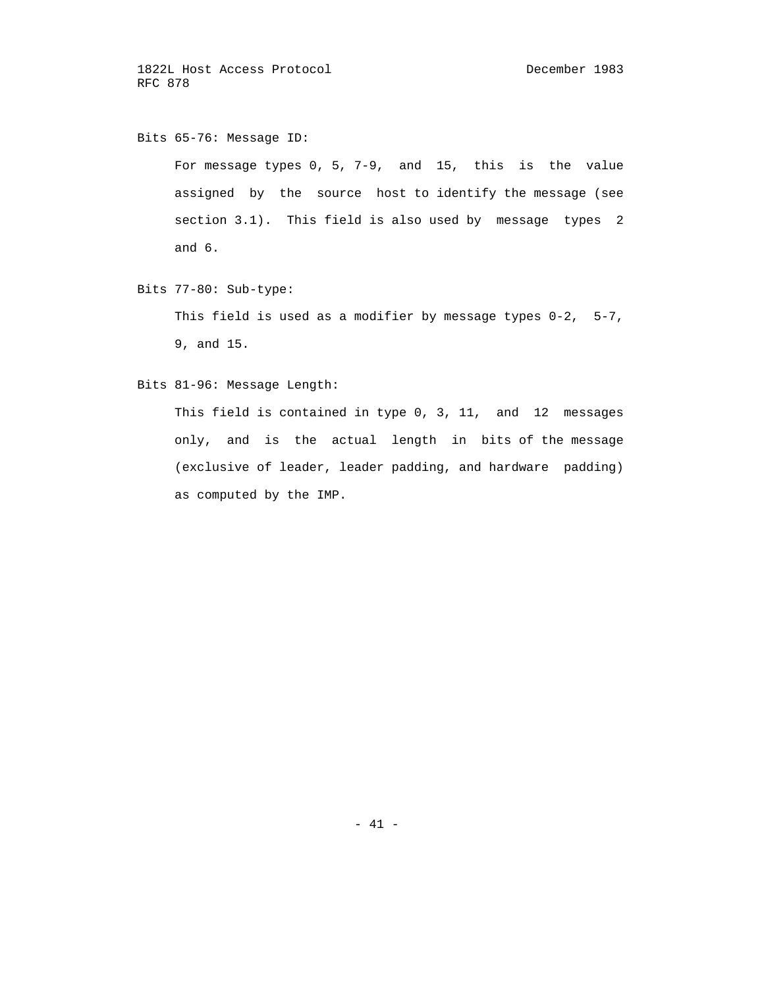Bits 65-76: Message ID:

 For message types 0, 5, 7-9, and 15, this is the value assigned by the source host to identify the message (see section 3.1). This field is also used by message types 2 and 6.

Bits 77-80: Sub-type:

 This field is used as a modifier by message types 0-2, 5-7, 9, and 15.

Bits 81-96: Message Length:

 This field is contained in type 0, 3, 11, and 12 messages only, and is the actual length in bits of the message (exclusive of leader, leader padding, and hardware padding) as computed by the IMP.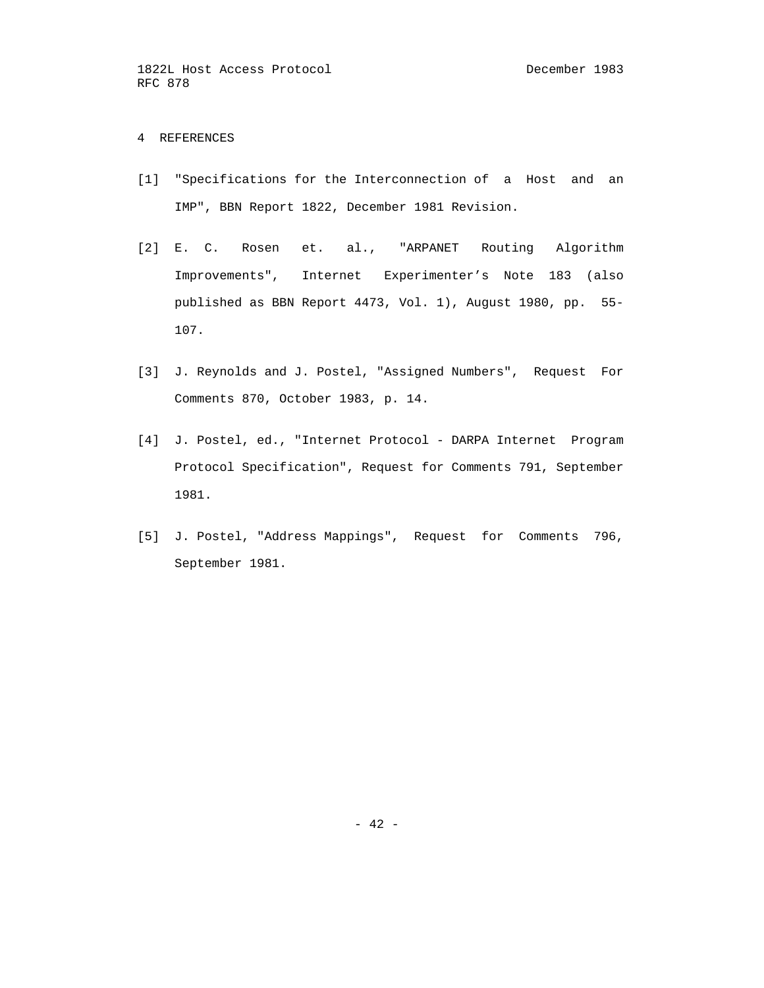# 4 REFERENCES

- [1] "Specifications for the Interconnection of a Host and an IMP", BBN Report 1822, December 1981 Revision.
- [2] E. C. Rosen et. al., "ARPANET Routing Algorithm Improvements", Internet Experimenter's Note 183 (also published as BBN Report 4473, Vol. 1), August 1980, pp. 55- 107.
- [3] J. Reynolds and J. Postel, "Assigned Numbers", Request For Comments 870, October 1983, p. 14.
- [4] J. Postel, ed., "Internet Protocol DARPA Internet Program Protocol Specification", Request for Comments 791, September 1981.
- [5] J. Postel, "Address Mappings", Request for Comments 796, September 1981.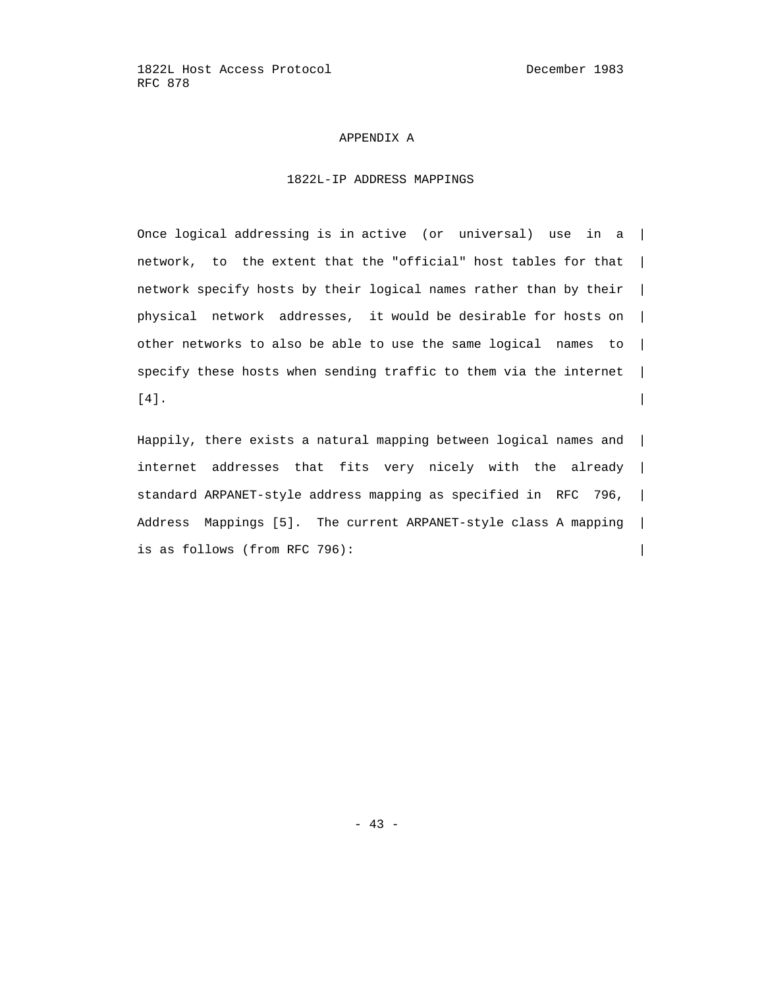#### APPENDIX A

# 1822L-IP ADDRESS MAPPINGS

 Once logical addressing is in active (or universal) use in a | network, to the extent that the "official" host tables for that | network specify hosts by their logical names rather than by their | physical network addresses, it would be desirable for hosts on | other networks to also be able to use the same logical names to | specify these hosts when sending traffic to them via the internet |  $\lceil 4 \rceil$ .

 Happily, there exists a natural mapping between logical names and | internet addresses that fits very nicely with the already | standard ARPANET-style address mapping as specified in RFC 796, | Address Mappings [5]. The current ARPANET-style class A mapping | is as follows (from RFC 796):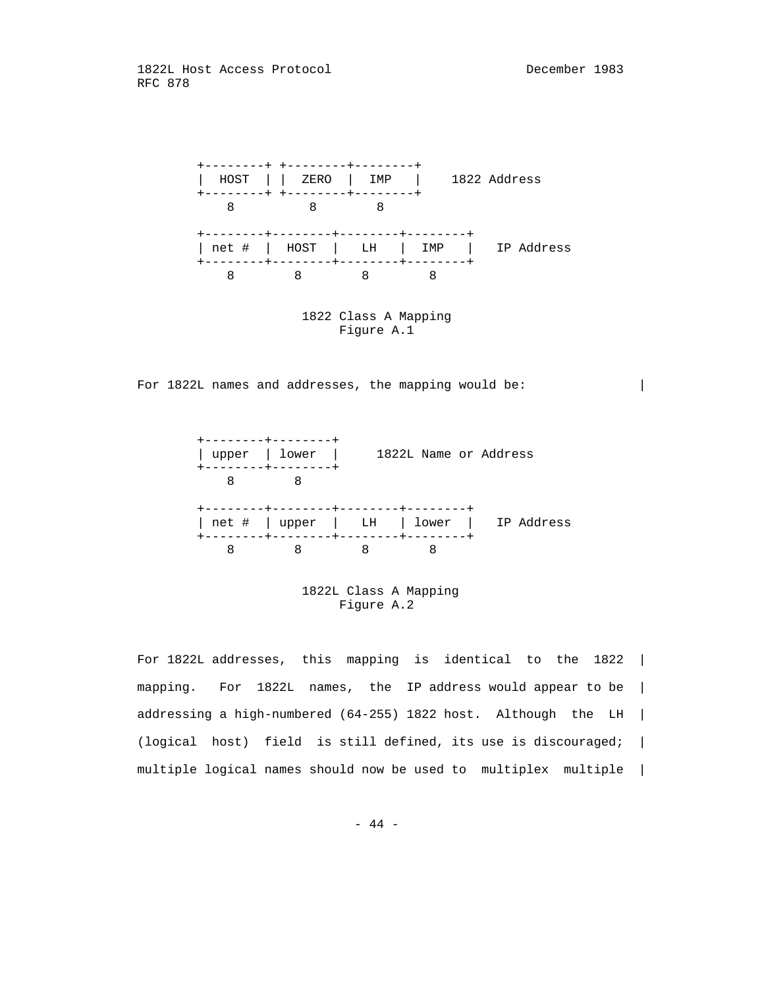

 1822 Class A Mapping Figure A.1

For 1822L names and addresses, the mapping would be:



 1822L Class A Mapping Figure A.2

 For 1822L addresses, this mapping is identical to the 1822 | mapping. For 1822L names, the IP address would appear to be | addressing a high-numbered (64-255) 1822 host. Although the LH | (logical host) field is still defined, its use is discouraged; | multiple logical names should now be used to multiplex multiple |

- 44 -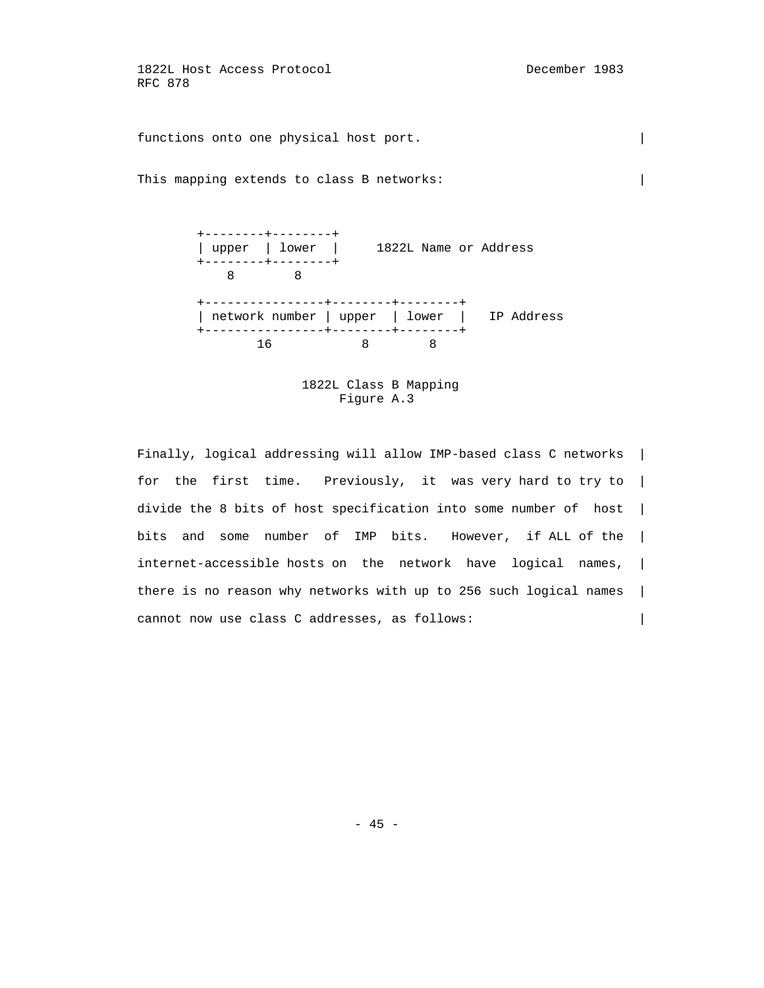functions onto one physical host port.

This mapping extends to class B networks:



## 1822L Class B Mapping Figure A.3

 Finally, logical addressing will allow IMP-based class C networks | for the first time. Previously, it was very hard to try to | divide the 8 bits of host specification into some number of host | bits and some number of IMP bits. However, if ALL of the | internet-accessible hosts on the network have logical names, | there is no reason why networks with up to 256 such logical names | cannot now use class C addresses, as follows: |

- 45 -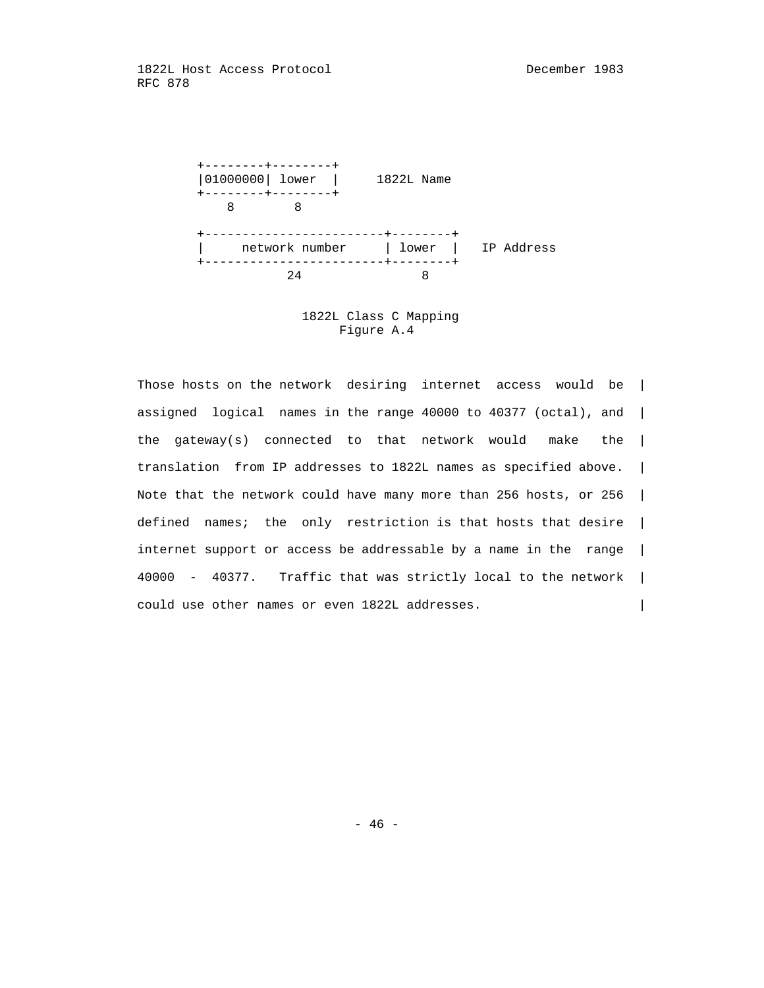

 1822L Class C Mapping Figure A.4

 Those hosts on the network desiring internet access would be | assigned logical names in the range 40000 to 40377 (octal), and | the gateway(s) connected to that network would make the | translation from IP addresses to 1822L names as specified above. | Note that the network could have many more than 256 hosts, or 256 | defined names; the only restriction is that hosts that desire | internet support or access be addressable by a name in the range | 40000 - 40377. Traffic that was strictly local to the network | could use other names or even 1822L addresses. |